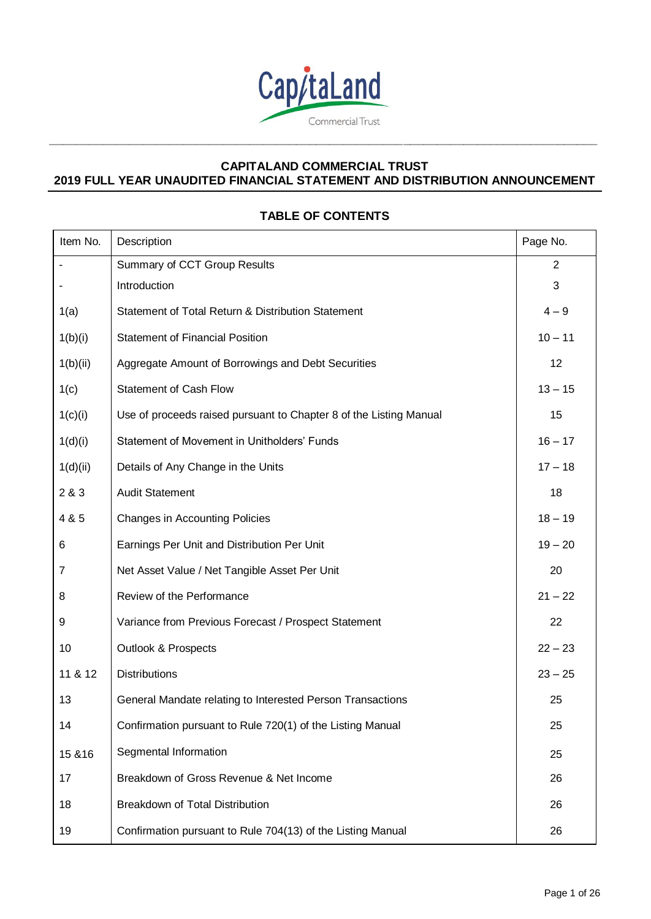

**\_\_\_\_\_\_\_\_\_\_\_\_\_\_\_\_\_\_\_\_\_\_\_\_\_\_\_\_\_\_\_\_\_\_\_\_\_\_\_\_\_\_\_\_\_\_\_\_\_\_\_\_\_\_\_\_\_\_\_\_\_\_\_\_\_\_\_\_\_\_\_\_\_\_\_\_\_\_\_\_\_\_**

# **TABLE OF CONTENTS**

| Item No. | Description                                                        | Page No.       |
|----------|--------------------------------------------------------------------|----------------|
|          | Summary of CCT Group Results                                       | $\overline{2}$ |
|          | Introduction                                                       | 3              |
| 1(a)     | Statement of Total Return & Distribution Statement                 | $4 - 9$        |
| 1(b)(i)  | <b>Statement of Financial Position</b>                             | $10 - 11$      |
| 1(b)(ii) | Aggregate Amount of Borrowings and Debt Securities                 | 12             |
| 1(c)     | <b>Statement of Cash Flow</b>                                      | $13 - 15$      |
| 1(c)(i)  | Use of proceeds raised pursuant to Chapter 8 of the Listing Manual | 15             |
| 1(d)(i)  | Statement of Movement in Unitholders' Funds                        | $16 - 17$      |
| 1(d)(ii) | Details of Any Change in the Units                                 | $17 - 18$      |
| 2 & 3    | <b>Audit Statement</b>                                             | 18             |
| 4 & 5    | <b>Changes in Accounting Policies</b>                              | $18 - 19$      |
| 6        | Earnings Per Unit and Distribution Per Unit                        | $19 - 20$      |
| 7        | Net Asset Value / Net Tangible Asset Per Unit                      | 20             |
| 8        | Review of the Performance                                          | $21 - 22$      |
| 9        | Variance from Previous Forecast / Prospect Statement               | 22             |
| 10       | <b>Outlook &amp; Prospects</b>                                     | $22 - 23$      |
| 11 & 12  | <b>Distributions</b>                                               | $23 - 25$      |
| 13       | General Mandate relating to Interested Person Transactions         | 25             |
| 14       | Confirmation pursuant to Rule 720(1) of the Listing Manual         | 25             |
| 15 & 16  | Segmental Information                                              | 25             |
| 17       | Breakdown of Gross Revenue & Net Income                            | 26             |
| 18       | Breakdown of Total Distribution                                    | 26             |
| 19       | Confirmation pursuant to Rule 704(13) of the Listing Manual        | 26             |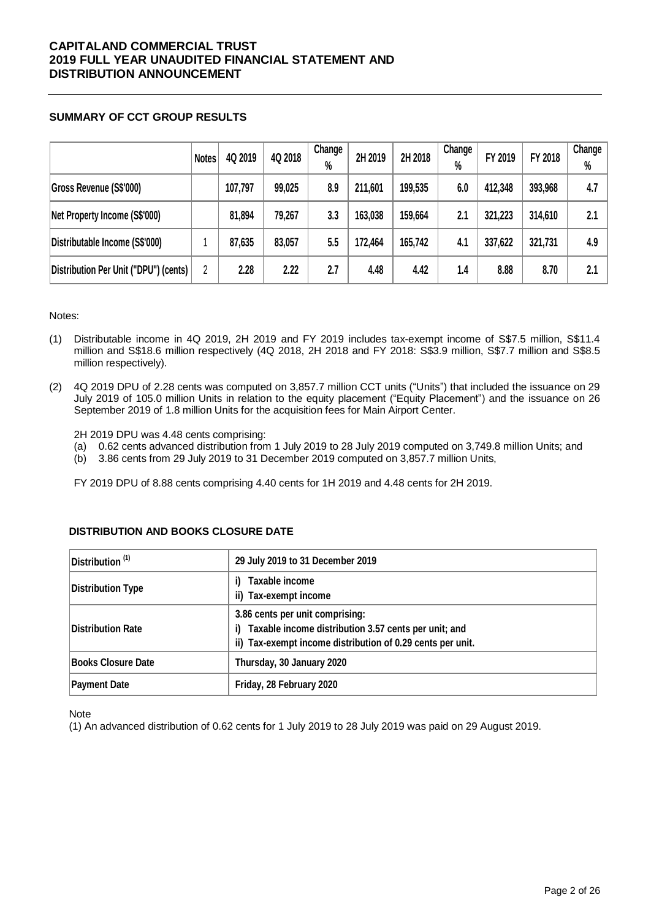## **SUMMARY OF CCT GROUP RESULTS**

|                                       | <b>Notes</b> | 4Q 2019 | 4Q 2018 | Change<br>$\%$ | 2H 2019 | 2H 2018 | Change<br>% | FY 2019 | FY 2018 | Change<br>$\%$ |
|---------------------------------------|--------------|---------|---------|----------------|---------|---------|-------------|---------|---------|----------------|
| Gross Revenue (S\$'000)               |              | 107,797 | 99,025  | 8.9            | 211,601 | 199,535 | 6.0         | 412,348 | 393,968 | 4.7            |
| Net Property Income (S\$'000)         |              | 81,894  | 79,267  | 3.3            | 163,038 | 159,664 | 2.1         | 321,223 | 314,610 | 2.1            |
| Distributable Income (S\$'000)        |              | 87,635  | 83,057  | 5.5            | 172,464 | 165,742 | 4.1         | 337,622 | 321,731 | 4.9            |
| Distribution Per Unit ("DPU") (cents) | 2            | 2.28    | 2.22    | 2.7            | 4.48    | 4.42    | 1.4         | 8.88    | 8.70    | 2.1            |

#### Notes:

- (1) Distributable income in 4Q 2019, 2H 2019 and FY 2019 includes tax-exempt income of S\$7.5 million, S\$11.4 million and S\$18.6 million respectively (4Q 2018, 2H 2018 and FY 2018: S\$3.9 million, S\$7.7 million and S\$8.5 million respectively).
- (2) 4Q 2019 DPU of 2.28 cents was computed on 3,857.7 million CCT units ("Units") that included the issuance on 29 July 2019 of 105.0 million Units in relation to the equity placement ("Equity Placement") and the issuance on 26 September 2019 of 1.8 million Units for the acquisition fees for Main Airport Center.

2H 2019 DPU was 4.48 cents comprising:

- (a) 0.62 cents advanced distribution from 1 July 2019 to 28 July 2019 computed on 3,749.8 million Units; and
- (b) 3.86 cents from 29 July 2019 to 31 December 2019 computed on 3,857.7 million Units,

FY 2019 DPU of 8.88 cents comprising 4.40 cents for 1H 2019 and 4.48 cents for 2H 2019.

| $ $ Distribution $(1)$    | 29 July 2019 to 31 December 2019                                                                                                                               |
|---------------------------|----------------------------------------------------------------------------------------------------------------------------------------------------------------|
| <b>Distribution Type</b>  | Taxable income<br>i)<br>Tax-exempt income<br>ii)                                                                                                               |
| Distribution Rate         | 3.86 cents per unit comprising:<br>Taxable income distribution 3.57 cents per unit; and<br>i)<br>Tax-exempt income distribution of 0.29 cents per unit.<br>ii) |
| <b>Books Closure Date</b> | Thursday, 30 January 2020                                                                                                                                      |
| <b>Payment Date</b>       | Friday, 28 February 2020                                                                                                                                       |

## **DISTRIBUTION AND BOOKS CLOSURE DATE**

**Note** 

(1) An advanced distribution of 0.62 cents for 1 July 2019 to 28 July 2019 was paid on 29 August 2019.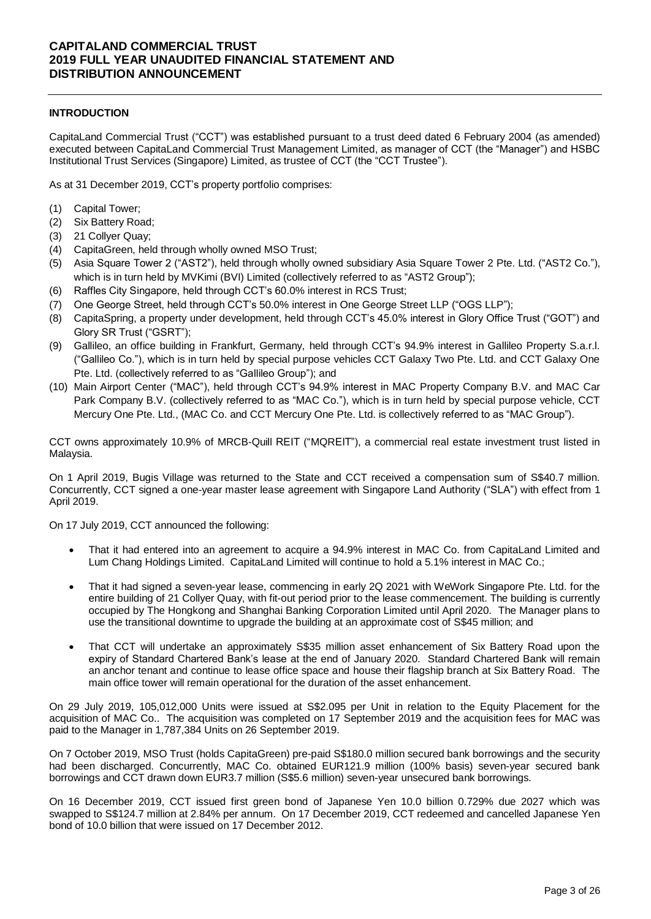## **INTRODUCTION**

CapitaLand Commercial Trust ("CCT") was established pursuant to a trust deed dated 6 February 2004 (as amended) executed between CapitaLand Commercial Trust Management Limited, as manager of CCT (the "Manager") and HSBC Institutional Trust Services (Singapore) Limited, as trustee of CCT (the "CCT Trustee").

As at 31 December 2019, CCT's property portfolio comprises:

- (1) Capital Tower;
- (2) Six Battery Road;
- (3) 21 Collyer Quay;
- (4) CapitaGreen, held through wholly owned MSO Trust;
- (5) Asia Square Tower 2 ("AST2"), held through wholly owned subsidiary Asia Square Tower 2 Pte. Ltd. ("AST2 Co."), which is in turn held by MVKimi (BVI) Limited (collectively referred to as "AST2 Group");
- (6) Raffles City Singapore, held through CCT's 60.0% interest in RCS Trust;
- (7) One George Street, held through CCT's 50.0% interest in One George Street LLP ("OGS LLP");
- (8) CapitaSpring, a property under development, held through CCT's 45.0% interest in Glory Office Trust ("GOT") and Glory SR Trust ("GSRT");
- (9) Gallileo, an office building in Frankfurt, Germany, held through CCT's 94.9% interest in Gallileo Property S.a.r.l. ("Gallileo Co."), which is in turn held by special purpose vehicles CCT Galaxy Two Pte. Ltd. and CCT Galaxy One Pte. Ltd. (collectively referred to as "Gallileo Group"); and
- (10) Main Airport Center ("MAC"), held through CCT's 94.9% interest in MAC Property Company B.V. and MAC Car Park Company B.V. (collectively referred to as "MAC Co."), which is in turn held by special purpose vehicle, CCT Mercury One Pte. Ltd., (MAC Co. and CCT Mercury One Pte. Ltd. is collectively referred to as "MAC Group").

CCT owns approximately 10.9% of MRCB-Quill REIT ("MQREIT"), a commercial real estate investment trust listed in Malaysia.

On 1 April 2019, Bugis Village was returned to the State and CCT received a compensation sum of S\$40.7 million. Concurrently, CCT signed a one-year master lease agreement with Singapore Land Authority ("SLA") with effect from 1 April 2019.

On 17 July 2019, CCT announced the following:

- That it had entered into an agreement to acquire a 94.9% interest in MAC Co. from CapitaLand Limited and Lum Chang Holdings Limited. CapitaLand Limited will continue to hold a 5.1% interest in MAC Co.;
- That it had signed a seven-year lease, commencing in early 2Q 2021 with WeWork Singapore Pte. Ltd. for the entire building of 21 Collyer Quay, with fit-out period prior to the lease commencement. The building is currently occupied by The Hongkong and Shanghai Banking Corporation Limited until April 2020. The Manager plans to use the transitional downtime to upgrade the building at an approximate cost of S\$45 million; and
- That CCT will undertake an approximately S\$35 million asset enhancement of Six Battery Road upon the expiry of Standard Chartered Bank's lease at the end of January 2020. Standard Chartered Bank will remain an anchor tenant and continue to lease office space and house their flagship branch at Six Battery Road. The main office tower will remain operational for the duration of the asset enhancement.

On 29 July 2019, 105,012,000 Units were issued at S\$2.095 per Unit in relation to the Equity Placement for the acquisition of MAC Co.. The acquisition was completed on 17 September 2019 and the acquisition fees for MAC was paid to the Manager in 1,787,384 Units on 26 September 2019.

On 7 October 2019, MSO Trust (holds CapitaGreen) pre-paid S\$180.0 million secured bank borrowings and the security had been discharged. Concurrently, MAC Co. obtained EUR121.9 million (100% basis) seven-year secured bank borrowings and CCT drawn down EUR3.7 million (S\$5.6 million) seven-year unsecured bank borrowings.

On 16 December 2019, CCT issued first green bond of Japanese Yen 10.0 billion 0.729% due 2027 which was swapped to S\$124.7 million at 2.84% per annum. On 17 December 2019, CCT redeemed and cancelled Japanese Yen bond of 10.0 billion that were issued on 17 December 2012.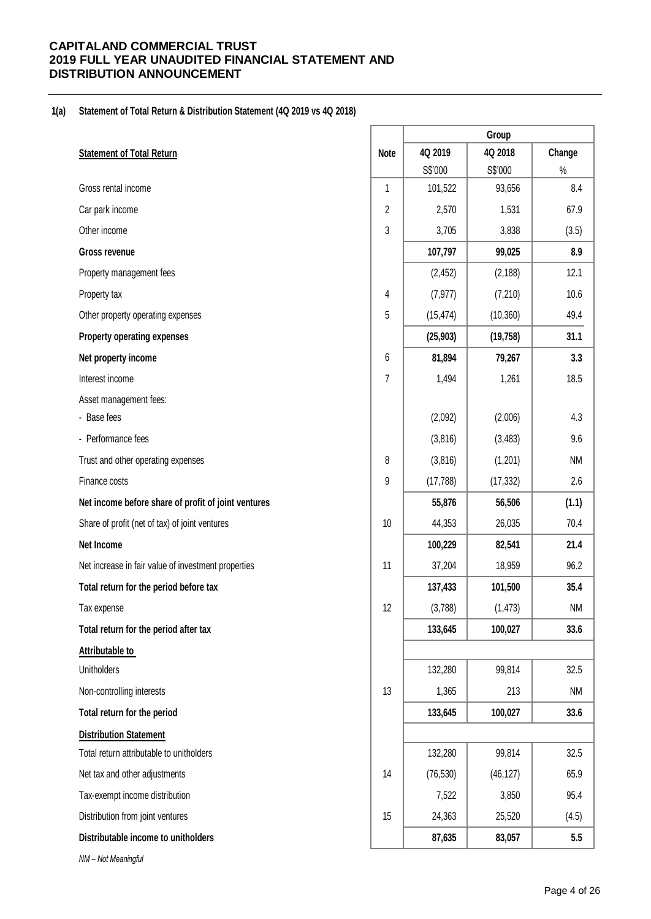# **1(a) Statement of Total Return & Distribution Statement (4Q 2019 vs 4Q 2018)**

|                                                     |                | Group     |           |           |  |  |
|-----------------------------------------------------|----------------|-----------|-----------|-----------|--|--|
| <b>Statement of Total Return</b>                    | <b>Note</b>    | 4Q 2019   | 4Q 2018   | Change    |  |  |
|                                                     |                | S\$'000   | S\$'000   | $\%$      |  |  |
| Gross rental income                                 | 1              | 101,522   | 93,656    | 8.4       |  |  |
| Car park income                                     | 2              | 2,570     | 1,531     | 67.9      |  |  |
| Other income                                        | 3              | 3,705     | 3,838     | (3.5)     |  |  |
| Gross revenue                                       |                | 107,797   | 99,025    | 8.9       |  |  |
| Property management fees                            |                | (2, 452)  | (2, 188)  | 12.1      |  |  |
| Property tax                                        | 4              | (7, 977)  | (7, 210)  | 10.6      |  |  |
| Other property operating expenses                   | 5              | (15, 474) | (10, 360) | 49.4      |  |  |
| Property operating expenses                         |                | (25, 903) | (19, 758) | 31.1      |  |  |
| Net property income                                 | 6              | 81,894    | 79,267    | 3.3       |  |  |
| Interest income                                     | $\overline{7}$ | 1,494     | 1,261     | 18.5      |  |  |
| Asset management fees:                              |                |           |           |           |  |  |
| - Base fees                                         |                | (2,092)   | (2,006)   | 4.3       |  |  |
| - Performance fees                                  |                | (3,816)   | (3, 483)  | 9.6       |  |  |
| Trust and other operating expenses                  | 8              | (3,816)   | (1,201)   | <b>NM</b> |  |  |
| Finance costs                                       | 9              | (17, 788) | (17, 332) | 2.6       |  |  |
| Net income before share of profit of joint ventures |                | 55,876    | 56,506    | (1.1)     |  |  |
| Share of profit (net of tax) of joint ventures      | 10             | 44,353    | 26,035    | 70.4      |  |  |
| Net Income                                          |                | 100,229   | 82,541    | 21.4      |  |  |
| Net increase in fair value of investment properties | 11             | 37,204    | 18,959    | 96.2      |  |  |
| Total return for the period before tax              |                | 137,433   | 101,500   | 35.4      |  |  |
| Tax expense                                         | 12             | (3,788)   | (1, 473)  | <b>NM</b> |  |  |
| Total return for the period after tax               |                | 133,645   | 100,027   | 33.6      |  |  |
| Attributable to                                     |                |           |           |           |  |  |
| <b>Unitholders</b>                                  |                | 132,280   | 99,814    | 32.5      |  |  |
| Non-controlling interests                           | 13             | 1,365     | 213       | <b>NM</b> |  |  |
| Total return for the period                         |                | 133,645   | 100,027   | 33.6      |  |  |
| <b>Distribution Statement</b>                       |                |           |           |           |  |  |
| Total return attributable to unitholders            |                | 132,280   | 99,814    | 32.5      |  |  |
| Net tax and other adjustments                       | 14             | (76, 530) | (46, 127) | 65.9      |  |  |
| Tax-exempt income distribution                      |                | 7,522     | 3,850     | 95.4      |  |  |
| Distribution from joint ventures                    | 15             | 24,363    | 25,520    | (4.5)     |  |  |
| Distributable income to unitholders                 |                | 87,635    | 83,057    | 5.5       |  |  |
| NM - Not Meaningful                                 |                |           |           |           |  |  |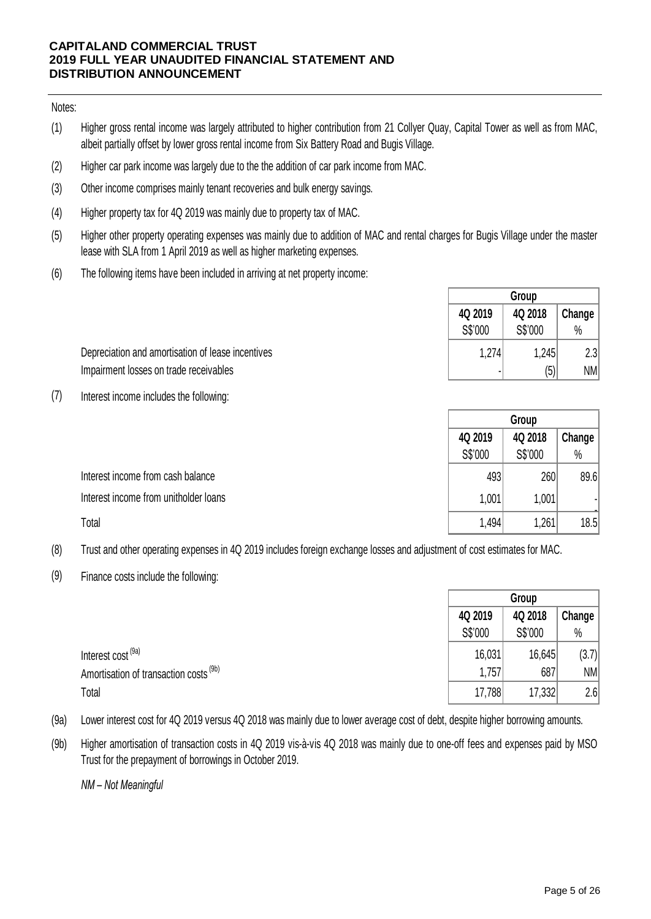Notes:

- (1) Higher gross rental income was largely attributed to higher contribution from 21 Collyer Quay, Capital Tower as well as from MAC, albeit partially offset by lower gross rental income from Six Battery Road and Bugis Village.
- (2) Higher car park income was largely due to the the addition of car park income from MAC.
- (3) Other income comprises mainly tenant recoveries and bulk energy savings.
- (4) Higher property tax for 4Q 2019 was mainly due to property tax of MAC.
- (5) Higher other property operating expenses was mainly due to addition of MAC and rental charges for Bugis Village under the master lease with SLA from 1 April 2019 as well as higher marketing expenses.
- (6) The following items have been included in arriving at net property income:

|                                                   | <b>GIOUD</b> |         |        |  |
|---------------------------------------------------|--------------|---------|--------|--|
|                                                   | 4Q 2019      | 4Q 2018 | Change |  |
|                                                   | S\$'000      | S\$'000 | $\%$   |  |
| Depreciation and amortisation of lease incentives | 1,274        | 1,245   | 2.3    |  |
| Impairment losses on trade receivables            |              | (5)     | NM     |  |

(7) Interest income includes the following:

|                                       | Group   |         |        |  |
|---------------------------------------|---------|---------|--------|--|
|                                       | 4Q 2019 | 4Q 2018 | Change |  |
|                                       | S\$'000 | S\$'000 | $\%$   |  |
| Interest income from cash balance     | 493     | 260     | 89.6   |  |
| Interest income from unitholder loans | 1,001   | 1,001   |        |  |
| Total                                 | 1,494   | ,261    | 18.5   |  |

- (8) Trust and other operating expenses in 4Q 2019 includes foreign exchange losses and adjustment of cost estimates for MAC.
- (9) Finance costs include the following:

|                                                   |         | Group   |        |  |  |
|---------------------------------------------------|---------|---------|--------|--|--|
|                                                   | 4Q 2019 | 4Q 2018 | Change |  |  |
|                                                   | S\$'000 | S\$'000 | $\%$   |  |  |
| Interest cost <sup>(9a)</sup>                     | 16,031  | 16,645  | (3.7)  |  |  |
| Amortisation of transaction costs <sup>(9b)</sup> | 1,757   | 687     | NM     |  |  |
| Total                                             | 17,788  | 17,332  | 2.6    |  |  |

- (9a) Lower interest cost for 4Q 2019 versus 4Q 2018 was mainly due to lower average cost of debt, despite higher borrowing amounts.
- (9b) Higher amortisation of transaction costs in 4Q 2019 vis-à-vis 4Q 2018 was mainly due to one-off fees and expenses paid by MSO Trust for the prepayment of borrowings in October 2019.

*NM – Not Meaningful*

**Group**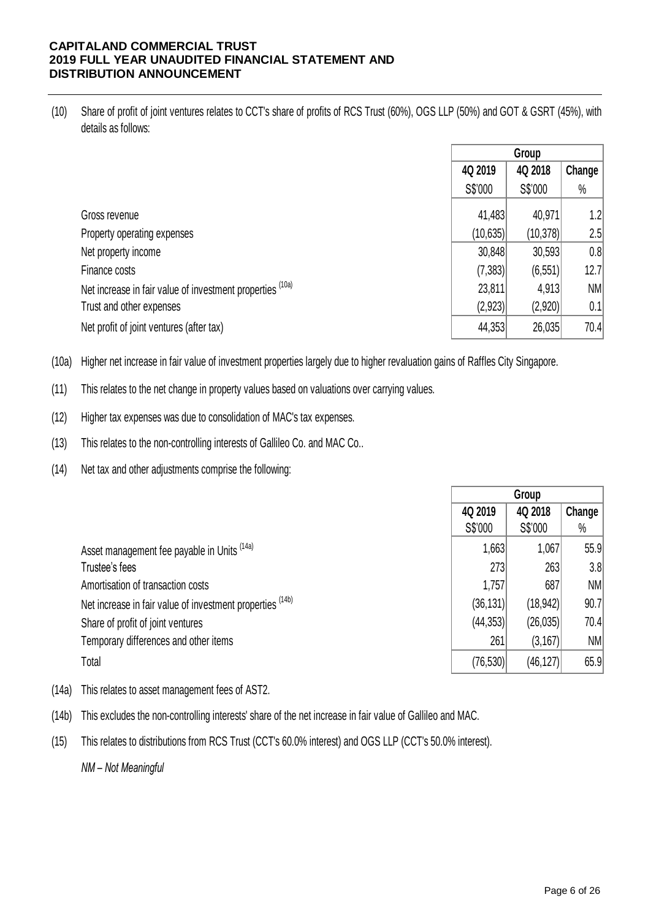(10) Share of profit of joint ventures relates to CCT's share of profits of RCS Trust (60%), OGS LLP (50%) and GOT & GSRT (45%), with details as follows:

|                                                           | Group     |           |           |
|-----------------------------------------------------------|-----------|-----------|-----------|
|                                                           | 4Q 2019   | 4Q 2018   | Change    |
|                                                           | S\$'000   | S\$'000   | $\%$      |
| Gross revenue                                             | 41,483    | 40,971    | 1.2       |
| Property operating expenses                               | (10, 635) | (10, 378) | 2.5       |
| Net property income                                       | 30,848    | 30,593    | 0.8       |
| Finance costs                                             | (7,383)   | (6, 551)  | 12.7      |
| Net increase in fair value of investment properties (10a) | 23,811    | 4,913     | <b>NM</b> |
| Trust and other expenses                                  | (2,923)   | (2,920)   | 0.1       |
| Net profit of joint ventures (after tax)                  | 44,353    | 26,035    | 70.4      |

(10a) Higher net increase in fair value of investment properties largely due to higher revaluation gains of Raffles City Singapore.

(11) This relates to the net change in property values based on valuations over carrying values.

(12) Higher tax expenses was due to consolidation of MAC's tax expenses.

(13) This relates to the non-controlling interests of Gallileo Co. and MAC Co..

(14) Net tax and other adjustments comprise the following:

|                                                           | Group     |           |        |
|-----------------------------------------------------------|-----------|-----------|--------|
|                                                           | 4Q 2019   | 4Q 2018   | Change |
|                                                           | S\$'000   | S\$'000   | $\%$   |
| Asset management fee payable in Units (14a)               | 1,663     | 1,067     | 55.9   |
| Trustee's fees                                            | 273       | 263       | 3.8    |
| Amortisation of transaction costs                         | 1,757     | 687       | NM     |
| Net increase in fair value of investment properties (14b) | (36, 131) | (18, 942) | 90.7   |
| Share of profit of joint ventures                         | (44, 353) | (26, 035) | 70.4   |
| Temporary differences and other items                     | 261       | (3, 167)  | NM     |
| Total                                                     | (76, 530) | (46, 127) | 65.9   |

- (14a) This relates to asset management fees of AST2.
- (14b) This excludes the non-controlling interests' share of the net increase in fair value of Gallileo and MAC.
- (15) This relates to distributions from RCS Trust (CCT's 60.0% interest) and OGS LLP (CCT's 50.0% interest).

*NM – Not Meaningful*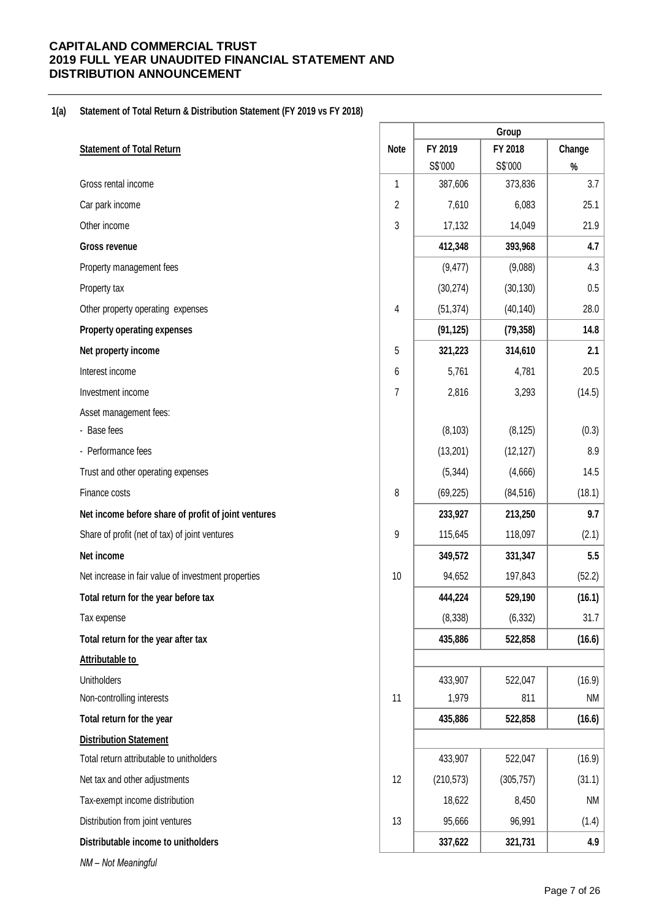# **1(a) Statement of Total Return & Distribution Statement (FY 2019 vs FY 2018)**

|                                                     |                | Group      |            |           |  |  |
|-----------------------------------------------------|----------------|------------|------------|-----------|--|--|
| <b>Statement of Total Return</b>                    | <b>Note</b>    | FY 2019    | FY 2018    | Change    |  |  |
|                                                     |                | S\$'000    | S\$'000    | $\%$      |  |  |
| Gross rental income                                 | 1              | 387,606    | 373,836    | 3.7       |  |  |
| Car park income                                     | $\overline{2}$ | 7,610      | 6,083      | 25.1      |  |  |
| Other income                                        | 3              | 17,132     | 14,049     | 21.9      |  |  |
| <b>Gross revenue</b>                                |                | 412,348    | 393,968    | 4.7       |  |  |
| Property management fees                            |                | (9, 477)   | (9,088)    | 4.3       |  |  |
| Property tax                                        |                | (30, 274)  | (30, 130)  | $0.5\,$   |  |  |
| Other property operating expenses                   | 4              | (51, 374)  | (40, 140)  | 28.0      |  |  |
| <b>Property operating expenses</b>                  |                | (91, 125)  | (79, 358)  | 14.8      |  |  |
| Net property income                                 | 5              | 321,223    | 314,610    | 2.1       |  |  |
| Interest income                                     | 6              | 5,761      | 4,781      | 20.5      |  |  |
| Investment income                                   | 7              | 2,816      | 3,293      | (14.5)    |  |  |
| Asset management fees:                              |                |            |            |           |  |  |
| - Base fees                                         |                | (8, 103)   | (8, 125)   | (0.3)     |  |  |
| - Performance fees                                  |                | (13,201)   | (12, 127)  | 8.9       |  |  |
| Trust and other operating expenses                  |                | (5, 344)   | (4,666)    | 14.5      |  |  |
| Finance costs                                       | 8              | (69, 225)  | (84, 516)  | (18.1)    |  |  |
| Net income before share of profit of joint ventures |                | 233,927    | 213,250    | 9.7       |  |  |
| Share of profit (net of tax) of joint ventures      | 9              | 115,645    | 118,097    | (2.1)     |  |  |
| Net income                                          |                | 349,572    | 331,347    | 5.5       |  |  |
| Net increase in fair value of investment properties | 10             | 94,652     | 197,843    | (52.2)    |  |  |
| Total return for the year before tax                |                | 444,224    | 529,190    | (16.1)    |  |  |
| Tax expense                                         |                | (8, 338)   | (6, 332)   | 31.7      |  |  |
| Total return for the year after tax                 |                | 435,886    | 522,858    | (16.6)    |  |  |
| <b>Attributable to</b>                              |                |            |            |           |  |  |
| <b>Unitholders</b>                                  |                | 433,907    | 522,047    | (16.9)    |  |  |
| Non-controlling interests                           | 11             | 1,979      | 811        | <b>NM</b> |  |  |
| Total return for the year                           |                | 435,886    | 522,858    | (16.6)    |  |  |
| <b>Distribution Statement</b>                       |                |            |            |           |  |  |
| Total return attributable to unitholders            |                | 433,907    | 522,047    | (16.9)    |  |  |
| Net tax and other adjustments                       | 12             | (210, 573) | (305, 757) | (31.1)    |  |  |
| Tax-exempt income distribution                      |                | 18,622     | 8,450      | <b>NM</b> |  |  |
| Distribution from joint ventures                    | 13             | 95,666     | 96,991     | (1.4)     |  |  |
| Distributable income to unitholders                 |                | 337,622    | 321,731    | 4.9       |  |  |
| NM - Not Meaningful                                 |                |            |            |           |  |  |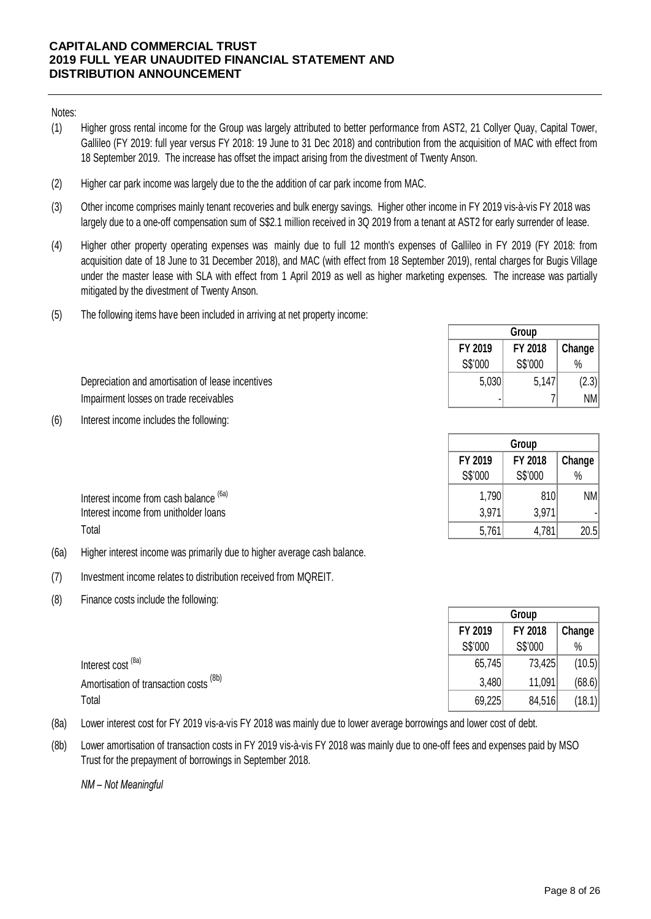## Notes:

- (1) Higher gross rental income for the Group was largely attributed to better performance from AST2, 21 Collyer Quay, Capital Tower, Gallileo (FY 2019: full year versus FY 2018: 19 June to 31 Dec 2018) and contribution from the acquisition of MAC with effect from 18 September 2019. The increase has offset the impact arising from the divestment of Twenty Anson.
- (2) Higher car park income was largely due to the the addition of car park income from MAC.
- (3) Other income comprises mainly tenant recoveries and bulk energy savings. Higher other income in FY 2019 vis-à-vis FY 2018 was largely due to a one-off compensation sum of S\$2.1 million received in 3Q 2019 from a tenant at AST2 for early surrender of lease.
- (4) Higher other property operating expenses was mainly due to full 12 month's expenses of Gallileo in FY 2019 (FY 2018: from acquisition date of 18 June to 31 December 2018), and MAC (with effect from 18 September 2019), rental charges for Bugis Village under the master lease with SLA with effect from 1 April 2019 as well as higher marketing expenses. The increase was partially mitigated by the divestment of Twenty Anson.
- (5) The following items have been included in arriving at net property income:

|                                                   | FY 2019<br>S\$'000 | FY 2018<br>S\$'000 | Change<br>$\%$ |
|---------------------------------------------------|--------------------|--------------------|----------------|
| Depreciation and amortisation of lease incentives | 5.030              | 5,147              | (2.3)          |
| Impairment losses on trade receivables            |                    |                    | <b>NM</b>      |

(6) Interest income includes the following:

|                                        | S\$'000 | S\$'000 | $\%$      |
|----------------------------------------|---------|---------|-----------|
| Interest income from cash balance (6a) | ا790.،  | 810     | <b>NM</b> |
| Interest income from unitholder loans  | 3,971   | 3,97'   |           |
| Total                                  | 5,761   | .781    | 20.5      |

- (6a) Higher interest income was primarily due to higher average cash balance.
- (7) Investment income relates to distribution received from MQREIT.
- (8) Finance costs include the following:

|                                        |         | Group   |        |
|----------------------------------------|---------|---------|--------|
|                                        | FY 2019 | FY 2018 | Change |
|                                        | S\$'000 | S\$'000 | $\%$   |
| Interest cost <sup>(8a)</sup>          | 65,745  | 73,425  | (10.5) |
| Amortisation of transaction costs (8b) | 3,480   | 11,091  | (68.6) |
| Total                                  | 69,225  | 84,516  | (18.1) |

- (8a) Lower interest cost for FY 2019 vis-a-vis FY 2018 was mainly due to lower average borrowings and lower cost of debt.
- (8b) Lower amortisation of transaction costs in FY 2019 vis-à-vis FY 2018 was mainly due to one-off fees and expenses paid by MSO Trust for the prepayment of borrowings in September 2018.

*NM – Not Meaningful*

**FY 2019 FY 2018 Change** 

**Group**

**Group**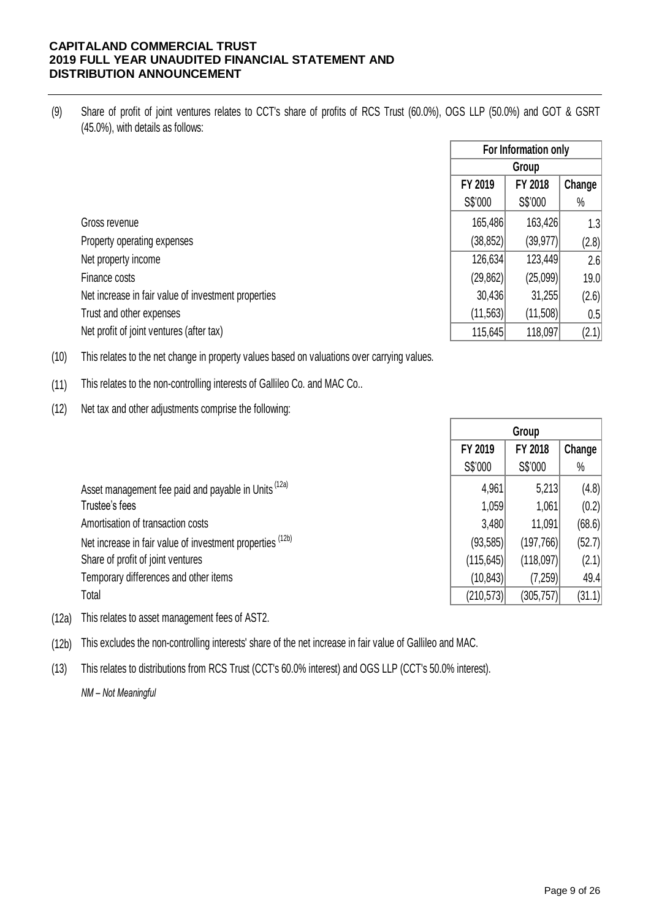(9) Share of profit of joint ventures relates to CCT's share of profits of RCS Trust (60.0%), OGS LLP (50.0%) and GOT & GSRT (45.0%), with details as follows:

| Gross revenue                                       |
|-----------------------------------------------------|
| Property operating expenses                         |
| Net property income                                 |
| Finance costs                                       |
| Net increase in fair value of investment properties |
| Trust and other expenses                            |
| Net profit of joint ventures (after tax)            |

| For Information only |           |        |  |  |  |  |
|----------------------|-----------|--------|--|--|--|--|
| Group                |           |        |  |  |  |  |
| FY 2019              | FY 2018   | Change |  |  |  |  |
| S\$'000              | S\$'000   | $\%$   |  |  |  |  |
| 165,486              | 163,426   | 1.3    |  |  |  |  |
| (38, 852)            | (39, 977) | (2.8)  |  |  |  |  |
| 126,634              | 123,449   | 2.6    |  |  |  |  |
| (29, 862)            | (25,099)  | 19.0   |  |  |  |  |
| 30,436               | 31,255    | (2.6)  |  |  |  |  |
| (11, 563)            | (11,508)  | 0.5    |  |  |  |  |
| 115,645              | 118,097   | (2.1)  |  |  |  |  |

(10) This relates to the net change in property values based on valuations over carrying values.

(11) This relates to the non-controlling interests of Gallileo Co. and MAC Co..

(12) Net tax and other adjustments comprise the following:

|                                                           | Group      |            |        |
|-----------------------------------------------------------|------------|------------|--------|
|                                                           | FY 2019    | FY 2018    | Change |
|                                                           | S\$'000    | S\$'000    | $\%$   |
| Asset management fee paid and payable in Units (12a)      | 4,961      | 5,213      | (4.8)  |
| Trustee's fees                                            | 1,059      | 1,061      | (0.2)  |
| Amortisation of transaction costs                         | 3,480      | 11,091     | (68.6) |
| Net increase in fair value of investment properties (12b) | (93, 585)  | (197, 766) | (52.7) |
| Share of profit of joint ventures                         | (115, 645) | (118,097)  | (2.1)  |
| Temporary differences and other items                     | (10, 843)  | (7,259)    | 49.4   |
| Total                                                     | (210, 573) | (305, 757) | (31.1) |
|                                                           |            |            |        |

(12a) This relates to asset management fees of AST2.

(12b) This excludes the non-controlling interests' share of the net increase in fair value of Gallileo and MAC.

(13) This relates to distributions from RCS Trust (CCT's 60.0% interest) and OGS LLP (CCT's 50.0% interest).

*NM – Not Meaningful*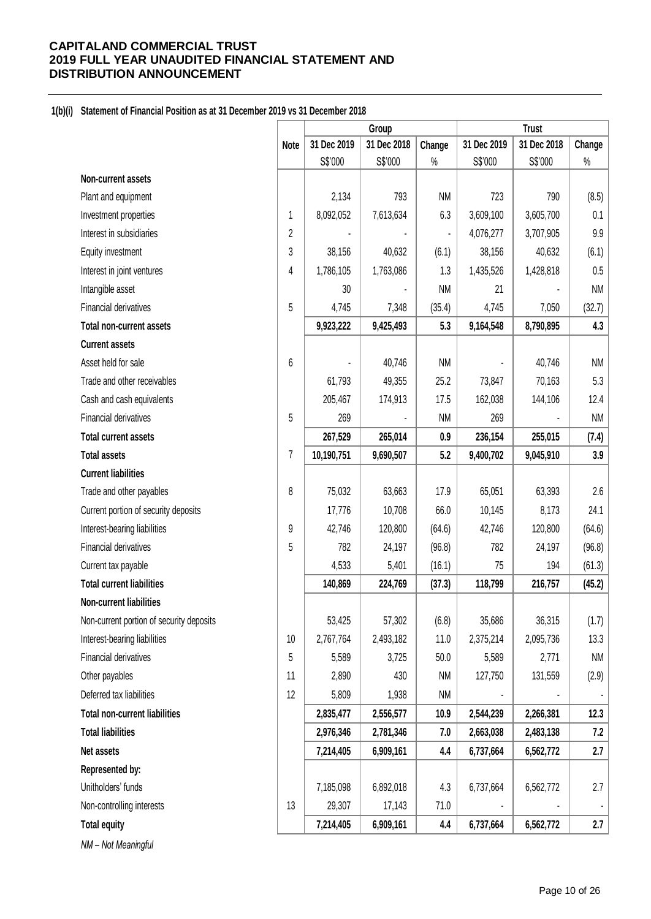## **1(b)(i) Statement of Financial Position as at 31 December 2019 vs 31 December 2018**

|                                          |                | Group       |             |           | <b>Trust</b> |             |           |
|------------------------------------------|----------------|-------------|-------------|-----------|--------------|-------------|-----------|
|                                          | <b>Note</b>    | 31 Dec 2019 | 31 Dec 2018 | Change    | 31 Dec 2019  | 31 Dec 2018 | Change    |
|                                          |                | S\$'000     | S\$'000     | $\%$      | S\$'000      | S\$'000     | $\%$      |
| Non-current assets                       |                |             |             |           |              |             |           |
| Plant and equipment                      |                | 2,134       | 793         | <b>NM</b> | 723          | 790         | (8.5)     |
| Investment properties                    | 1              | 8,092,052   | 7,613,634   | 6.3       | 3,609,100    | 3,605,700   | 0.1       |
| Interest in subsidiaries                 | $\overline{2}$ |             |             |           | 4,076,277    | 3,707,905   | 9.9       |
| Equity investment                        | 3              | 38,156      | 40,632      | (6.1)     | 38,156       | 40,632      | (6.1)     |
| Interest in joint ventures               | 4              | 1,786,105   | 1,763,086   | 1.3       | 1,435,526    | 1,428,818   | 0.5       |
| Intangible asset                         |                | 30          |             | <b>NM</b> | 21           |             | <b>NM</b> |
| Financial derivatives                    | 5              | 4,745       | 7,348       | (35.4)    | 4,745        | 7,050       | (32.7)    |
| Total non-current assets                 |                | 9,923,222   | 9,425,493   | 5.3       | 9,164,548    | 8,790,895   | 4.3       |
| <b>Current assets</b>                    |                |             |             |           |              |             |           |
| Asset held for sale                      | 6              |             | 40,746      | <b>NM</b> |              | 40,746      | <b>NM</b> |
| Trade and other receivables              |                | 61,793      | 49,355      | 25.2      | 73,847       | 70,163      | 5.3       |
| Cash and cash equivalents                |                | 205,467     | 174,913     | 17.5      | 162,038      | 144,106     | 12.4      |
| Financial derivatives                    | 5              | 269         |             | <b>NM</b> | 269          |             | <b>NM</b> |
| <b>Total current assets</b>              |                | 267,529     | 265,014     | 0.9       | 236,154      | 255,015     | (7.4)     |
| <b>Total assets</b>                      | 7              | 10,190,751  | 9,690,507   | 5.2       | 9,400,702    | 9,045,910   | 3.9       |
| <b>Current liabilities</b>               |                |             |             |           |              |             |           |
| Trade and other payables                 | 8              | 75,032      | 63,663      | 17.9      | 65,051       | 63,393      | 2.6       |
| Current portion of security deposits     |                | 17,776      | 10,708      | 66.0      | 10,145       | 8,173       | 24.1      |
| Interest-bearing liabilities             | 9              | 42,746      | 120,800     | (64.6)    | 42,746       | 120,800     | (64.6)    |
| Financial derivatives                    | 5              | 782         | 24,197      | (96.8)    | 782          | 24,197      | (96.8)    |
| Current tax payable                      |                | 4,533       | 5,401       | (16.1)    | 75           | 194         | (61.3)    |
| <b>Total current liabilities</b>         |                | 140,869     | 224,769     | (37.3)    | 118,799      | 216,757     | (45.2)    |
| Non-current liabilities                  |                |             |             |           |              |             |           |
| Non-current portion of security deposits |                | 53,425      | 57,302      | (6.8)     | 35,686       | 36,315      | (1.7)     |
| Interest-bearing liabilities             | 10             | 2,767,764   | 2,493,182   | 11.0      | 2,375,214    | 2,095,736   | 13.3      |
| Financial derivatives                    | 5              | 5,589       | 3,725       | 50.0      | 5,589        | 2,771       | <b>NM</b> |
| Other payables                           | 11             | 2,890       | 430         | NM        | 127,750      | 131,559     | (2.9)     |
| Deferred tax liabilities                 | 12             | 5,809       | 1,938       | <b>NM</b> |              |             |           |
| <b>Total non-current liabilities</b>     |                | 2,835,477   | 2,556,577   | 10.9      | 2,544,239    | 2,266,381   | 12.3      |
| <b>Total liabilities</b>                 |                | 2,976,346   | 2,781,346   | 7.0       | 2,663,038    | 2,483,138   | 7.2       |
| Net assets                               |                | 7,214,405   | 6,909,161   | 4.4       | 6,737,664    | 6,562,772   | 2.7       |
| Represented by:                          |                |             |             |           |              |             |           |
| Unitholders' funds                       |                | 7,185,098   | 6,892,018   | 4.3       | 6,737,664    | 6,562,772   | 2.7       |
| Non-controlling interests                | 13             | 29,307      | 17,143      | 71.0      |              |             | -         |
| <b>Total equity</b>                      |                | 7,214,405   | 6,909,161   | 4.4       | 6,737,664    | 6,562,772   | 2.7       |
| NM - Not Meaningful                      |                |             |             |           |              |             |           |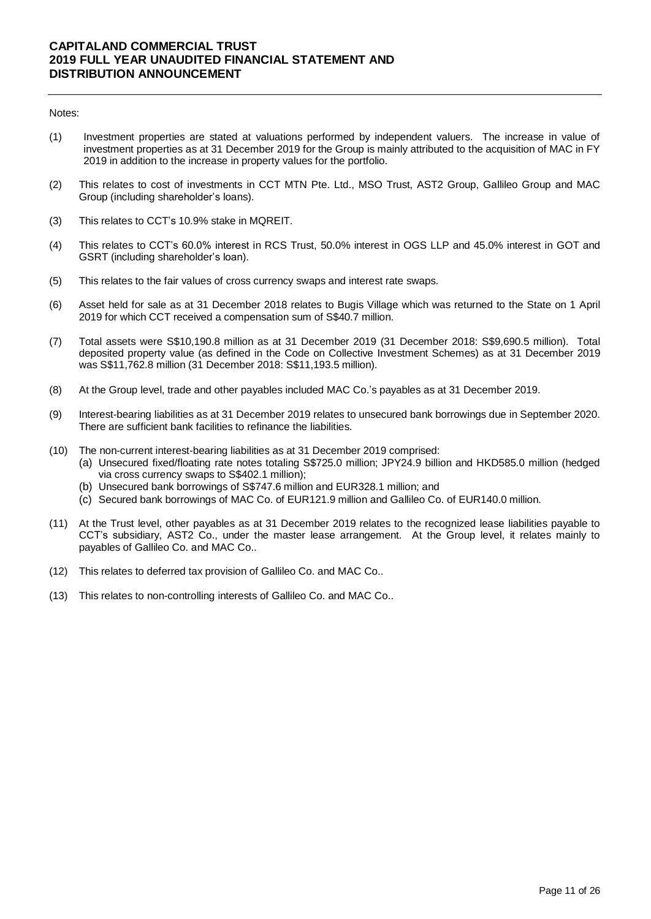#### Notes:

- (1) Investment properties are stated at valuations performed by independent valuers. The increase in value of investment properties as at 31 December 2019 for the Group is mainly attributed to the acquisition of MAC in FY 2019 in addition to the increase in property values for the portfolio.
- (2) This relates to cost of investments in CCT MTN Pte. Ltd., MSO Trust, AST2 Group, Gallileo Group and MAC Group (including shareholder's loans).
- (3) This relates to CCT's 10.9% stake in MQREIT.
- (4) This relates to CCT's 60.0% interest in RCS Trust, 50.0% interest in OGS LLP and 45.0% interest in GOT and GSRT (including shareholder's loan).
- (5) This relates to the fair values of cross currency swaps and interest rate swaps.
- (6) Asset held for sale as at 31 December 2018 relates to Bugis Village which was returned to the State on 1 April 2019 for which CCT received a compensation sum of S\$40.7 million.
- (7) Total assets were S\$10,190.8 million as at 31 December 2019 (31 December 2018: S\$9,690.5 million). Total deposited property value (as defined in the Code on Collective Investment Schemes) as at 31 December 2019 was S\$11,762.8 million (31 December 2018: S\$11,193.5 million).
- (8) At the Group level, trade and other payables included MAC Co.'s payables as at 31 December 2019.
- (9) Interest-bearing liabilities as at 31 December 2019 relates to unsecured bank borrowings due in September 2020. There are sufficient bank facilities to refinance the liabilities.
- (10) The non-current interest-bearing liabilities as at 31 December 2019 comprised:
	- (a) Unsecured fixed/floating rate notes totaling S\$725.0 million; JPY24.9 billion and HKD585.0 million (hedged via cross currency swaps to S\$402.1 million);
	- (b) Unsecured bank borrowings of S\$747.6 million and EUR328.1 million; and
	- (c) Secured bank borrowings of MAC Co. of EUR121.9 million and Gallileo Co. of EUR140.0 million.
- (11) At the Trust level, other payables as at 31 December 2019 relates to the recognized lease liabilities payable to CCT's subsidiary, AST2 Co., under the master lease arrangement. At the Group level, it relates mainly to payables of Gallileo Co. and MAC Co..
- (12) This relates to deferred tax provision of Gallileo Co. and MAC Co..
- (13) This relates to non-controlling interests of Gallileo Co. and MAC Co..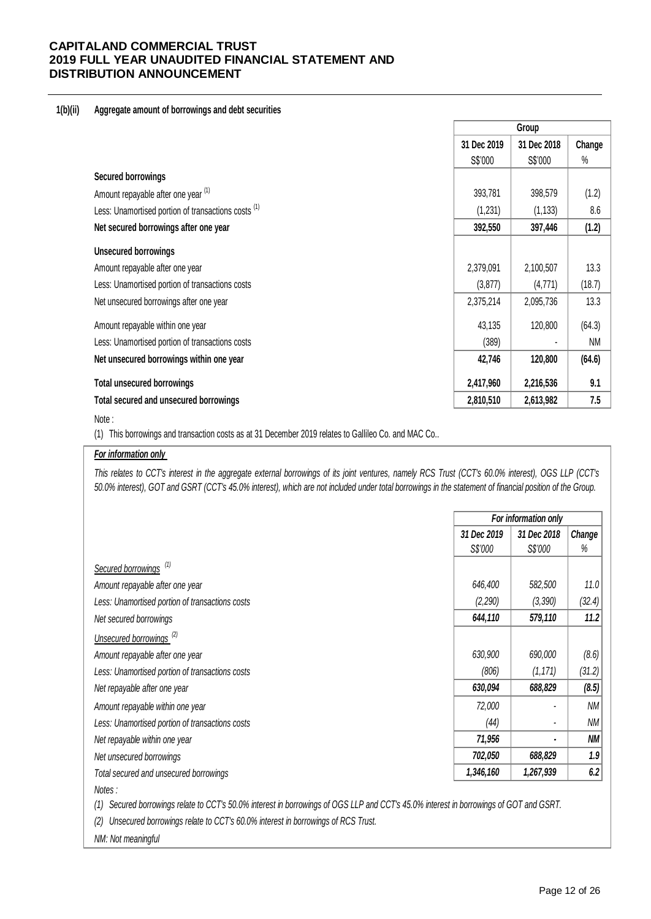## **1(b)(ii) Aggregate amount of borrowings and debt securities**

|                                                                |             | Group       |           |
|----------------------------------------------------------------|-------------|-------------|-----------|
|                                                                | 31 Dec 2019 | 31 Dec 2018 | Change    |
|                                                                | S\$'000     | S\$'000     | %         |
| <b>Secured borrowings</b>                                      |             |             |           |
| Amount repayable after one year (1)                            | 393,781     | 398,579     | (1.2)     |
| Less: Unamortised portion of transactions costs <sup>(1)</sup> | (1,231)     | (1, 133)    | 8.6       |
| Net secured borrowings after one year                          | 392,550     | 397,446     | (1.2)     |
| <b>Unsecured borrowings</b>                                    |             |             |           |
| Amount repayable after one year                                | 2,379,091   | 2,100,507   | 13.3      |
| Less: Unamortised portion of transactions costs                | (3, 877)    | (4,771)     | (18.7)    |
| Net unsecured borrowings after one year                        | 2,375,214   | 2,095,736   | 13.3      |
| Amount repayable within one year                               | 43,135      | 120,800     | (64.3)    |
| Less: Unamortised portion of transactions costs                | (389)       |             | <b>NM</b> |
| Net unsecured borrowings within one year                       | 42,746      | 120,800     | (64.6)    |
| <b>Total unsecured borrowings</b>                              | 2,417,960   | 2,216,536   | 9.1       |
| Total secured and unsecured borrowings                         | 2,810,510   | 2,613,982   | 7.5       |

#### Note :

(1) This borrowings and transaction costs as at 31 December 2019 relates to Gallileo Co. and MAC Co..

# *For information only*

This relates to CCT's interest in the aggregate external borrowings of its joint ventures, namely RCS Trust (CCT's 60.0% interest), OGS LLP (CCT's *50.0% interest), GOT and GSRT (CCT's 45.0% interest), which are not included under total borrowings in the statement of financial position of the Group.*

|                                                 |             | For information only |           |
|-------------------------------------------------|-------------|----------------------|-----------|
|                                                 | 31 Dec 2019 | 31 Dec 2018          | Change    |
|                                                 | S\$'000     | S\$'000              | %         |
| Secured borrowings <sup>(1)</sup>               |             |                      |           |
| Amount repayable after one year                 | 646,400     | 582,500              | 11.0      |
| Less: Unamortised portion of transactions costs | (2,290)     | (3,390)              | (32.4)    |
| Net secured borrowings                          | 644,110     | 579,110              | 11.2      |
| Unsecured borrowings <sup>(2)</sup>             |             |                      |           |
| Amount repayable after one year                 | 630,900     | 690,000              | (8.6)     |
| Less: Unamortised portion of transactions costs | (806)       | (1, 171)             | (31.2)    |
| Net repayable after one year                    | 630,094     | 688,829              | (8.5)     |
| Amount repayable within one year                | 72,000      |                      | ΝM        |
| Less: Unamortised portion of transactions costs | (44)        | ٠                    | ΝM        |
| Net repayable within one year                   | 71,956      | $\blacksquare$       | <b>NM</b> |
| Net unsecured borrowings                        | 702,050     | 688,829              | 1.9       |
| Total secured and unsecured borrowings          | 1,346,160   | 1,267,939            | 6.2       |
| Notes:                                          |             |                      |           |

*(1) Secured borrowings relate to CCT's 50.0% interest in borrowings of OGS LLP and CCT's 45.0% interest in borrowings of GOT and GSRT.* 

*(2) Unsecured borrowings relate to CCT's 60.0% interest in borrowings of RCS Trust.*

*NM: Not meaningful*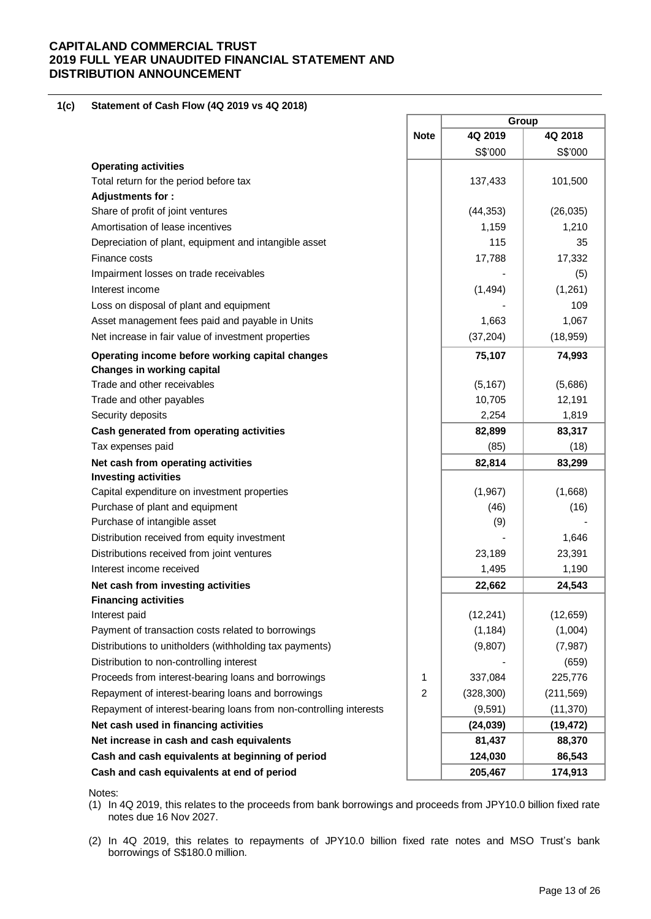#### **1(c) Statement of Cash Flow (4Q 2019 vs 4Q 2018)**

|                                                                    |             | Group      |            |  |
|--------------------------------------------------------------------|-------------|------------|------------|--|
|                                                                    | <b>Note</b> | 4Q 2019    | 4Q 2018    |  |
|                                                                    |             | S\$'000    | S\$'000    |  |
| <b>Operating activities</b>                                        |             |            |            |  |
| Total return for the period before tax                             |             | 137,433    | 101,500    |  |
| <b>Adjustments for:</b>                                            |             |            |            |  |
| Share of profit of joint ventures                                  |             | (44, 353)  | (26, 035)  |  |
| Amortisation of lease incentives                                   |             | 1,159      | 1,210      |  |
| Depreciation of plant, equipment and intangible asset              |             | 115        | 35         |  |
| Finance costs                                                      |             | 17,788     | 17,332     |  |
| Impairment losses on trade receivables                             |             |            | (5)        |  |
| Interest income                                                    |             | (1, 494)   | (1,261)    |  |
| Loss on disposal of plant and equipment                            |             |            | 109        |  |
| Asset management fees paid and payable in Units                    |             | 1,663      | 1,067      |  |
| Net increase in fair value of investment properties                |             | (37, 204)  | (18, 959)  |  |
| Operating income before working capital changes                    |             | 75,107     | 74,993     |  |
| <b>Changes in working capital</b>                                  |             |            |            |  |
| Trade and other receivables                                        |             | (5, 167)   | (5,686)    |  |
| Trade and other payables                                           |             | 10,705     | 12,191     |  |
| Security deposits                                                  |             | 2,254      | 1,819      |  |
| Cash generated from operating activities                           |             | 82,899     | 83,317     |  |
| Tax expenses paid                                                  |             | (85)       | (18)       |  |
| Net cash from operating activities                                 |             | 82,814     | 83,299     |  |
| <b>Investing activities</b>                                        |             |            |            |  |
| Capital expenditure on investment properties                       |             | (1,967)    | (1,668)    |  |
| Purchase of plant and equipment                                    |             | (46)       | (16)       |  |
| Purchase of intangible asset                                       |             | (9)        |            |  |
| Distribution received from equity investment                       |             |            | 1,646      |  |
| Distributions received from joint ventures                         |             | 23,189     | 23,391     |  |
| Interest income received                                           |             | 1,495      | 1,190      |  |
| Net cash from investing activities                                 |             | 22,662     | 24,543     |  |
| <b>Financing activities</b>                                        |             |            |            |  |
| Interest paid                                                      |             | (12, 241)  | (12, 659)  |  |
| Payment of transaction costs related to borrowings                 |             | (1, 184)   | (1,004)    |  |
| Distributions to unitholders (withholding tax payments)            |             | (9, 807)   | (7, 987)   |  |
| Distribution to non-controlling interest                           |             |            | (659)      |  |
| Proceeds from interest-bearing loans and borrowings                | 1           | 337,084    | 225,776    |  |
| Repayment of interest-bearing loans and borrowings                 | 2           | (328, 300) | (211, 569) |  |
| Repayment of interest-bearing loans from non-controlling interests |             | (9, 591)   | (11, 370)  |  |
| Net cash used in financing activities                              |             | (24, 039)  | (19, 472)  |  |
| Net increase in cash and cash equivalents                          |             | 81,437     | 88,370     |  |
| Cash and cash equivalents at beginning of period                   |             | 124,030    | 86,543     |  |
| Cash and cash equivalents at end of period                         |             | 205,467    | 174,913    |  |

Notes:

(1) In 4Q 2019, this relates to the proceeds from bank borrowings and proceeds from JPY10.0 billion fixed rate notes due 16 Nov 2027.

(2) In 4Q 2019, this relates to repayments of JPY10.0 billion fixed rate notes and MSO Trust's bank borrowings of S\$180.0 million.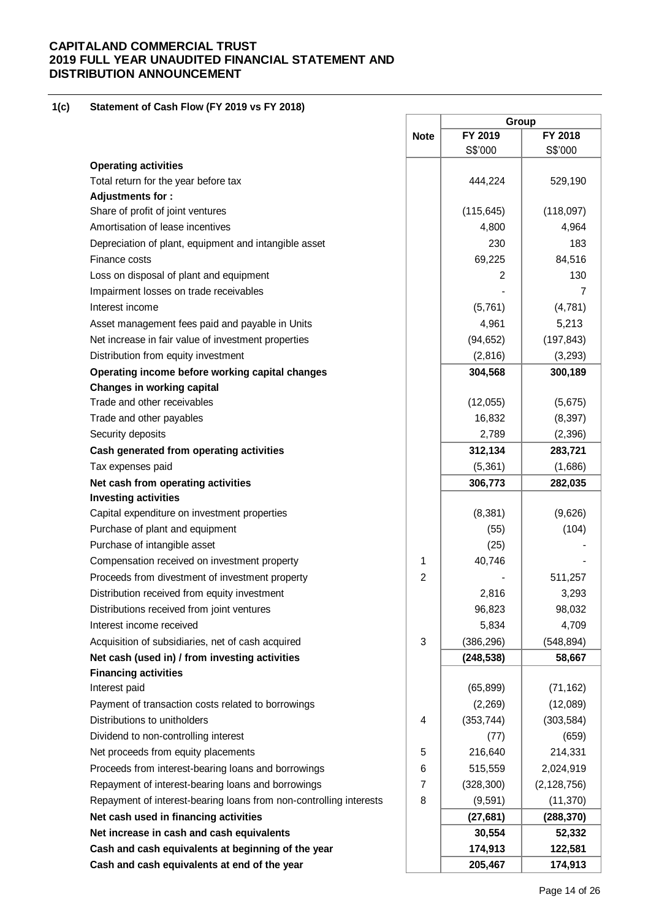#### **1(c) Statement of Cash Flow (FY 2019 vs FY 2018)**

|                                                                    |                | Group      |               |  |
|--------------------------------------------------------------------|----------------|------------|---------------|--|
|                                                                    | <b>Note</b>    | FY 2019    | FY 2018       |  |
|                                                                    |                | S\$'000    | S\$'000       |  |
| <b>Operating activities</b>                                        |                |            |               |  |
| Total return for the year before tax                               |                | 444,224    | 529,190       |  |
| Adjustments for:                                                   |                |            |               |  |
| Share of profit of joint ventures                                  |                | (115, 645) | (118,097)     |  |
| Amortisation of lease incentives                                   |                | 4,800      | 4,964         |  |
| Depreciation of plant, equipment and intangible asset              |                | 230        | 183           |  |
| Finance costs                                                      |                | 69,225     | 84,516        |  |
| Loss on disposal of plant and equipment                            |                | 2          | 130           |  |
| Impairment losses on trade receivables                             |                |            | 7             |  |
| Interest income                                                    |                | (5,761)    | (4,781)       |  |
| Asset management fees paid and payable in Units                    |                | 4,961      | 5,213         |  |
| Net increase in fair value of investment properties                |                | (94, 652)  | (197, 843)    |  |
| Distribution from equity investment                                |                | (2,816)    | (3,293)       |  |
| Operating income before working capital changes                    |                | 304,568    | 300,189       |  |
| Changes in working capital                                         |                |            |               |  |
| Trade and other receivables                                        |                | (12,055)   | (5,675)       |  |
| Trade and other payables                                           |                | 16,832     | (8, 397)      |  |
| Security deposits                                                  |                | 2,789      | (2, 396)      |  |
| Cash generated from operating activities                           |                | 312,134    | 283,721       |  |
| Tax expenses paid                                                  |                | (5,361)    | (1,686)       |  |
| Net cash from operating activities                                 |                | 306,773    | 282,035       |  |
| <b>Investing activities</b>                                        |                |            |               |  |
| Capital expenditure on investment properties                       |                | (8, 381)   | (9,626)       |  |
| Purchase of plant and equipment                                    |                | (55)       | (104)         |  |
| Purchase of intangible asset                                       |                | (25)       |               |  |
| Compensation received on investment property                       | 1              | 40,746     |               |  |
| Proceeds from divestment of investment property                    | $\overline{2}$ |            | 511,257       |  |
| Distribution received from equity investment                       |                | 2,816      | 3,293         |  |
| Distributions received from joint ventures                         |                |            |               |  |
|                                                                    |                | 96,823     | 98,032        |  |
| Interest income received                                           |                | 5,834      | 4,709         |  |
| Acquisition of subsidiaries, net of cash acquired                  | $\sqrt{3}$     | (386, 296) | (548, 894)    |  |
| Net cash (used in) / from investing activities                     |                | (248, 538) | 58,667        |  |
| <b>Financing activities</b>                                        |                |            |               |  |
| Interest paid                                                      |                | (65, 899)  | (71, 162)     |  |
| Payment of transaction costs related to borrowings                 |                | (2, 269)   | (12,089)      |  |
| Distributions to unitholders                                       | 4              | (353, 744) | (303, 584)    |  |
| Dividend to non-controlling interest                               |                | (77)       | (659)         |  |
| Net proceeds from equity placements                                | 5              | 216,640    | 214,331       |  |
| Proceeds from interest-bearing loans and borrowings                | 6              | 515,559    | 2,024,919     |  |
| Repayment of interest-bearing loans and borrowings                 | $\overline{7}$ | (328, 300) | (2, 128, 756) |  |
| Repayment of interest-bearing loans from non-controlling interests | 8              | (9, 591)   | (11, 370)     |  |
| Net cash used in financing activities                              |                | (27, 681)  | (288, 370)    |  |
| Net increase in cash and cash equivalents                          |                | 30,554     | 52,332        |  |
| Cash and cash equivalents at beginning of the year                 |                | 174,913    | 122,581       |  |
| Cash and cash equivalents at end of the year                       |                | 205,467    | 174,913       |  |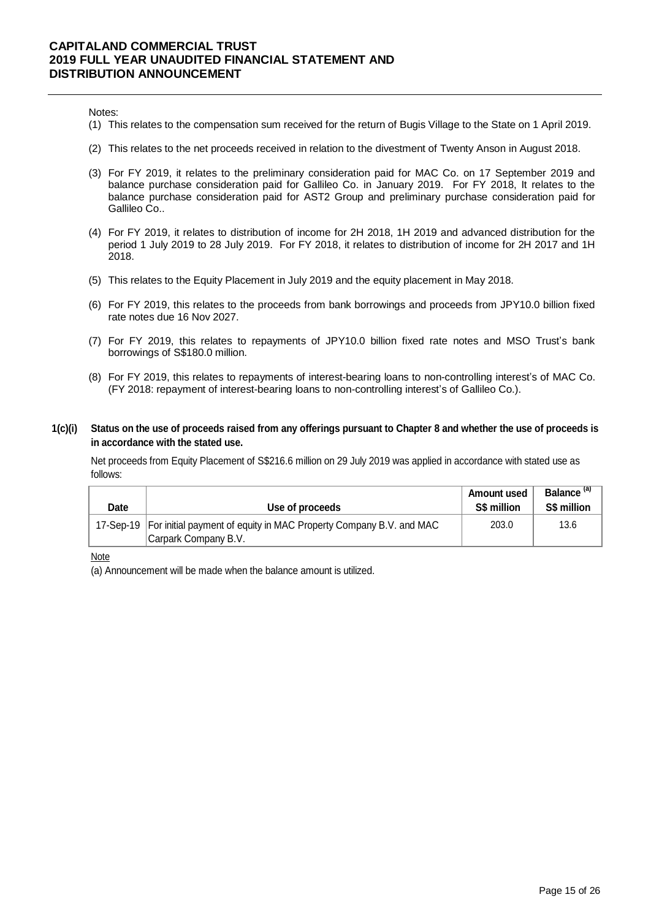Notes:

- (1) This relates to the compensation sum received for the return of Bugis Village to the State on 1 April 2019.
- (2) This relates to the net proceeds received in relation to the divestment of Twenty Anson in August 2018.
- (3) For FY 2019, it relates to the preliminary consideration paid for MAC Co. on 17 September 2019 and balance purchase consideration paid for Gallileo Co. in January 2019. For FY 2018, It relates to the balance purchase consideration paid for AST2 Group and preliminary purchase consideration paid for Gallileo Co..
- (4) For FY 2019, it relates to distribution of income for 2H 2018, 1H 2019 and advanced distribution for the period 1 July 2019 to 28 July 2019. For FY 2018, it relates to distribution of income for 2H 2017 and 1H 2018.
- (5) This relates to the Equity Placement in July 2019 and the equity placement in May 2018.
- (6) For FY 2019, this relates to the proceeds from bank borrowings and proceeds from JPY10.0 billion fixed rate notes due 16 Nov 2027.
- (7) For FY 2019, this relates to repayments of JPY10.0 billion fixed rate notes and MSO Trust's bank borrowings of S\$180.0 million.
- (8) For FY 2019, this relates to repayments of interest-bearing loans to non-controlling interest's of MAC Co. (FY 2018: repayment of interest-bearing loans to non-controlling interest's of Gallileo Co.).
- **1(c)(i) Status on the use of proceeds raised from any offerings pursuant to Chapter 8 and whether the use of proceeds is in accordance with the stated use.**

Net proceeds from Equity Placement of S\$216.6 million on 29 July 2019 was applied in accordance with stated use as follows:

| Date | Use of proceeds                                                                                        | <b>Amount used</b><br>S\$ million | Balance <sup>(a)</sup><br>S\$ million |
|------|--------------------------------------------------------------------------------------------------------|-----------------------------------|---------------------------------------|
|      | 17-Sep-19   For initial payment of equity in MAC Property Company B.V. and MAC<br>Carpark Company B.V. | 203.0                             | 13.6                                  |

Note

(a) Announcement will be made when the balance amount is utilized.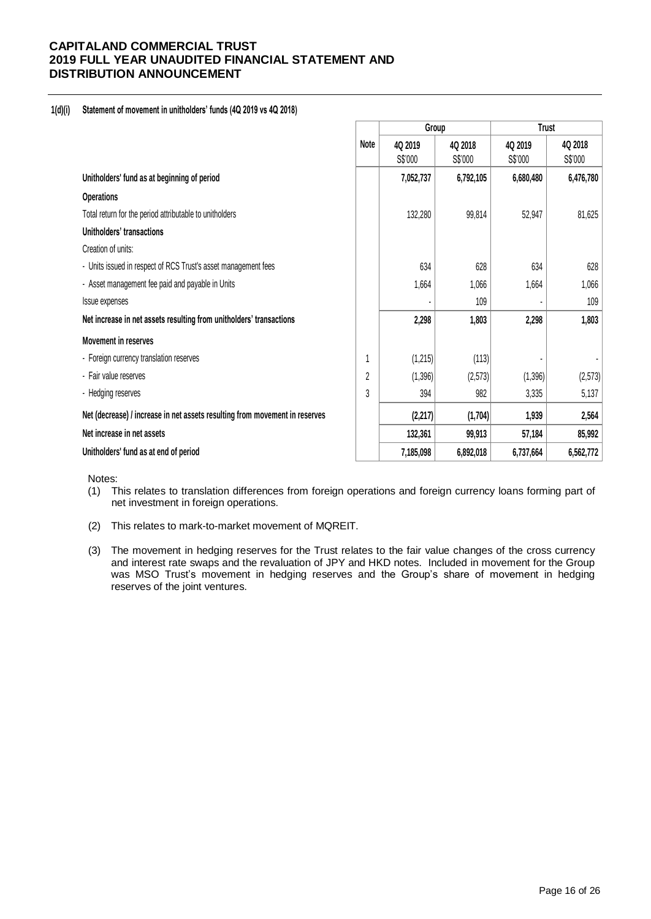## **1(d)(i) Statement of movement in unitholders' funds (4Q 2019 vs 4Q 2018)**

|                                                                             |                | Group     |           | <b>Trust</b> |           |  |
|-----------------------------------------------------------------------------|----------------|-----------|-----------|--------------|-----------|--|
|                                                                             | Note           | 4Q 2019   | 4Q 2018   | 4Q 2019      | 4Q 2018   |  |
|                                                                             |                | S\$'000   | S\$'000   | S\$'000      | S\$'000   |  |
| Unitholders' fund as at beginning of period                                 |                | 7,052,737 | 6,792,105 | 6,680,480    | 6,476,780 |  |
| <b>Operations</b>                                                           |                |           |           |              |           |  |
| Total return for the period attributable to unitholders                     |                | 132,280   | 99,814    | 52,947       | 81,625    |  |
| Unitholders' transactions                                                   |                |           |           |              |           |  |
| Creation of units:                                                          |                |           |           |              |           |  |
| - Units issued in respect of RCS Trust's asset management fees              |                | 634       | 628       | 634          | 628       |  |
| - Asset management fee paid and payable in Units                            |                | 1,664     | 1,066     | 1,664        | 1,066     |  |
| Issue expenses                                                              |                |           | 109       |              | 109       |  |
| Net increase in net assets resulting from unitholders' transactions         |                | 2,298     | 1,803     | 2,298        | 1,803     |  |
| <b>Movement in reserves</b>                                                 |                |           |           |              |           |  |
| - Foreign currency translation reserves                                     |                | (1,215)   | (113)     |              |           |  |
| - Fair value reserves                                                       | $\overline{2}$ | (1, 396)  | (2,573)   | (1, 396)     | (2,573)   |  |
| - Hedging reserves                                                          | 3              | 394       | 982       | 3,335        | 5,137     |  |
| Net (decrease) / increase in net assets resulting from movement in reserves |                | (2, 217)  | (1,704)   | 1,939        | 2,564     |  |
| Net increase in net assets                                                  |                | 132,361   | 99,913    | 57,184       | 85,992    |  |
| Unitholders' fund as at end of period                                       |                | 7,185,098 | 6,892,018 | 6,737,664    | 6,562,772 |  |

Notes:

- (1) This relates to translation differences from foreign operations and foreign currency loans forming part of net investment in foreign operations.
- (2) This relates to mark-to-market movement of MQREIT.
- (3) The movement in hedging reserves for the Trust relates to the fair value changes of the cross currency and interest rate swaps and the revaluation of JPY and HKD notes. Included in movement for the Group was MSO Trust's movement in hedging reserves and the Group's share of movement in hedging reserves of the joint ventures.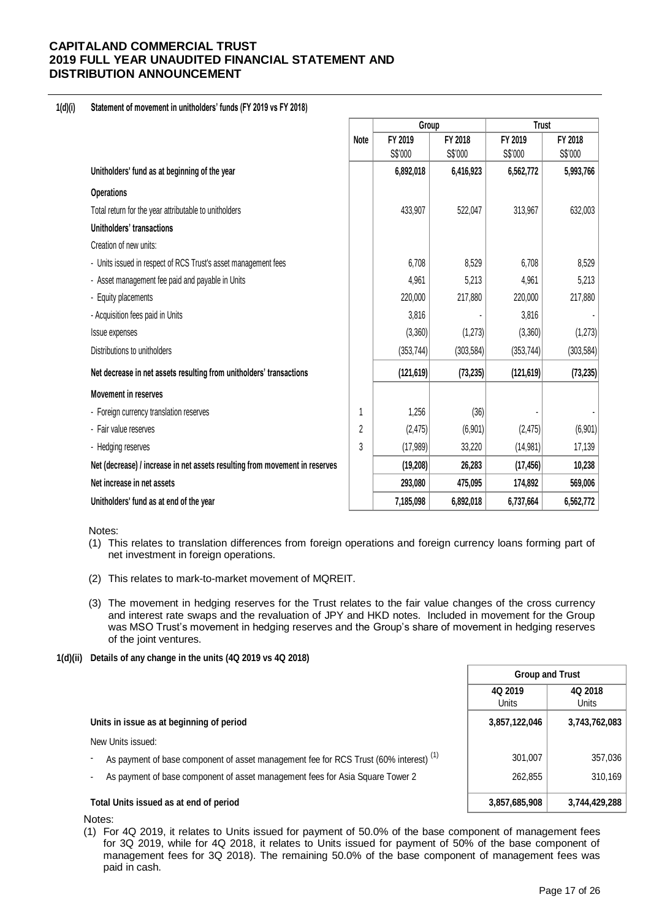## **1(d)(i) Statement of movement in unitholders' funds (FY 2019 vs FY 2018)**

|                                                                             |      | Group      |            | <b>Trust</b> |            |  |
|-----------------------------------------------------------------------------|------|------------|------------|--------------|------------|--|
|                                                                             | Note | FY 2019    | FY 2018    | FY 2019      | FY 2018    |  |
|                                                                             |      | S\$'000    | S\$'000    | S\$'000      | S\$'000    |  |
| Unitholders' fund as at beginning of the year                               |      | 6,892,018  | 6,416,923  | 6,562,772    | 5,993,766  |  |
| <b>Operations</b>                                                           |      |            |            |              |            |  |
| Total return for the year attributable to unitholders                       |      | 433,907    | 522,047    | 313,967      | 632,003    |  |
| Unitholders' transactions                                                   |      |            |            |              |            |  |
| Creation of new units:                                                      |      |            |            |              |            |  |
| - Units issued in respect of RCS Trust's asset management fees              |      | 6,708      | 8,529      | 6,708        | 8,529      |  |
| - Asset management fee paid and payable in Units                            |      | 4,961      | 5,213      | 4,961        | 5,213      |  |
| - Equity placements                                                         |      | 220,000    | 217,880    | 220,000      | 217,880    |  |
| - Acquisition fees paid in Units                                            |      | 3,816      |            | 3,816        |            |  |
| <b>Issue expenses</b>                                                       |      | (3,360)    | (1, 273)   | (3,360)      | (1, 273)   |  |
| Distributions to unitholders                                                |      | (353, 744) | (303, 584) | (353, 744)   | (303, 584) |  |
| Net decrease in net assets resulting from unitholders' transactions         |      | (121, 619) | (73, 235)  | (121, 619)   | (73, 235)  |  |
| <b>Movement in reserves</b>                                                 |      |            |            |              |            |  |
| - Foreign currency translation reserves                                     |      | 1,256      | (36)       |              |            |  |
| - Fair value reserves                                                       | 2    | (2, 475)   | (6,901)    | (2, 475)     | (6,901)    |  |
| - Hedging reserves                                                          | 3    | (17,989)   | 33,220     | (14, 981)    | 17,139     |  |
| Net (decrease) / increase in net assets resulting from movement in reserves |      | (19, 208)  | 26,283     | (17, 456)    | 10,238     |  |
| Net increase in net assets                                                  |      | 293,080    | 475,095    | 174,892      | 569,006    |  |
| Unitholders' fund as at end of the year                                     |      | 7,185,098  | 6,892,018  | 6,737,664    | 6,562,772  |  |

Notes:

- (1) This relates to translation differences from foreign operations and foreign currency loans forming part of net investment in foreign operations.
- (2) This relates to mark-to-market movement of MQREIT.
- (3) The movement in hedging reserves for the Trust relates to the fair value changes of the cross currency and interest rate swaps and the revaluation of JPY and HKD notes. Included in movement for the Group was MSO Trust's movement in hedging reserves and the Group's share of movement in hedging reserves of the joint ventures.
- **1(d)(ii) Details of any change in the units (4Q 2019 vs 4Q 2018)**

|                                                                                                  | <b>Group and Trust</b>  |                  |
|--------------------------------------------------------------------------------------------------|-------------------------|------------------|
|                                                                                                  | 4Q 2019<br><b>Units</b> | 4Q 2018<br>Units |
| Units in issue as at beginning of period                                                         | 3,857,122,046           | 3,743,762,083    |
| New Units issued:                                                                                |                         |                  |
| As payment of base component of asset management fee for RCS Trust (60% interest) <sup>(1)</sup> | 301.007                 | 357,036          |
| As payment of base component of asset management fees for Asia Square Tower 2                    | 262.855                 | 310,169          |
| Total Units issued as at end of period                                                           | 3,857,685,908           | 3,744,429,288    |

Notes:

(1) For 4Q 2019, it relates to Units issued for payment of 50.0% of the base component of management fees for 3Q 2019, while for 4Q 2018, it relates to Units issued for payment of 50% of the base component of management fees for 3Q 2018). The remaining 50.0% of the base component of management fees was paid in cash.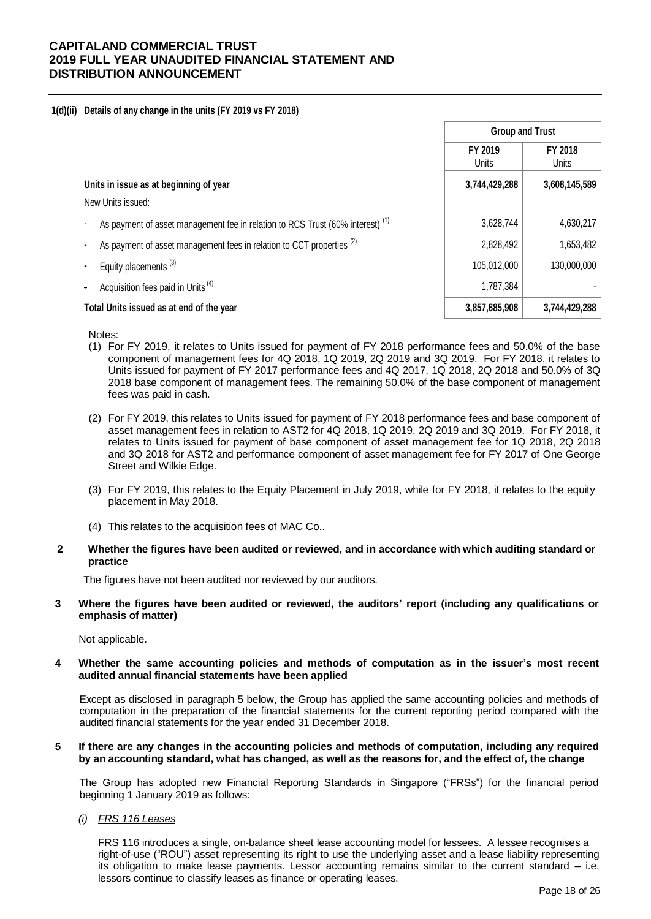#### **1(d)(ii) Details of any change in the units (FY 2019 vs FY 2018)**

|                                                                                           | <b>Group and Trust</b>  |                         |
|-------------------------------------------------------------------------------------------|-------------------------|-------------------------|
|                                                                                           | FY 2019<br><b>Units</b> | FY 2018<br><b>Units</b> |
| Units in issue as at beginning of year                                                    | 3,744,429,288           | 3,608,145,589           |
| New Units issued:                                                                         |                         |                         |
| As payment of asset management fee in relation to RCS Trust (60% interest) <sup>(1)</sup> | 3,628,744               | 4,630,217               |
| As payment of asset management fees in relation to CCT properties <sup>(2)</sup>          | 2,828,492               | 1,653,482               |
| Equity placements <sup>(3)</sup>                                                          | 105,012,000             | 130,000,000             |
| Acquisition fees paid in Units <sup>(4)</sup>                                             | 1,787,384               |                         |
| Total Units issued as at end of the year                                                  | 3,857,685,908           | 3,744,429,288           |

Notes:

- (1) For FY 2019, it relates to Units issued for payment of FY 2018 performance fees and 50.0% of the base component of management fees for 4Q 2018, 1Q 2019, 2Q 2019 and 3Q 2019. For FY 2018, it relates to Units issued for payment of FY 2017 performance fees and 4Q 2017, 1Q 2018, 2Q 2018 and 50.0% of 3Q 2018 base component of management fees. The remaining 50.0% of the base component of management fees was paid in cash.
- (2) For FY 2019, this relates to Units issued for payment of FY 2018 performance fees and base component of asset management fees in relation to AST2 for 4Q 2018, 1Q 2019, 2Q 2019 and 3Q 2019. For FY 2018, it relates to Units issued for payment of base component of asset management fee for 1Q 2018, 2Q 2018 and 3Q 2018 for AST2 and performance component of asset management fee for FY 2017 of One George Street and Wilkie Edge.
- (3) For FY 2019, this relates to the Equity Placement in July 2019, while for FY 2018, it relates to the equity placement in May 2018.
- (4) This relates to the acquisition fees of MAC Co..
- **2 Whether the figures have been audited or reviewed, and in accordance with which auditing standard or practice**

The figures have not been audited nor reviewed by our auditors.

**3 Where the figures have been audited or reviewed, the auditors' report (including any qualifications or emphasis of matter)**

Not applicable.

**4 Whether the same accounting policies and methods of computation as in the issuer's most recent audited annual financial statements have been applied**

Except as disclosed in paragraph 5 below, the Group has applied the same accounting policies and methods of computation in the preparation of the financial statements for the current reporting period compared with the audited financial statements for the year ended 31 December 2018.

#### **5 If there are any changes in the accounting policies and methods of computation, including any required by an accounting standard, what has changed, as well as the reasons for, and the effect of, the change**

The Group has adopted new Financial Reporting Standards in Singapore ("FRSs") for the financial period beginning 1 January 2019 as follows:

## *(i) FRS 116 Leases*

FRS 116 introduces a single, on-balance sheet lease accounting model for lessees. A lessee recognises a right-of-use ("ROU") asset representing its right to use the underlying asset and a lease liability representing its obligation to make lease payments. Lessor accounting remains similar to the current standard – i.e. lessors continue to classify leases as finance or operating leases.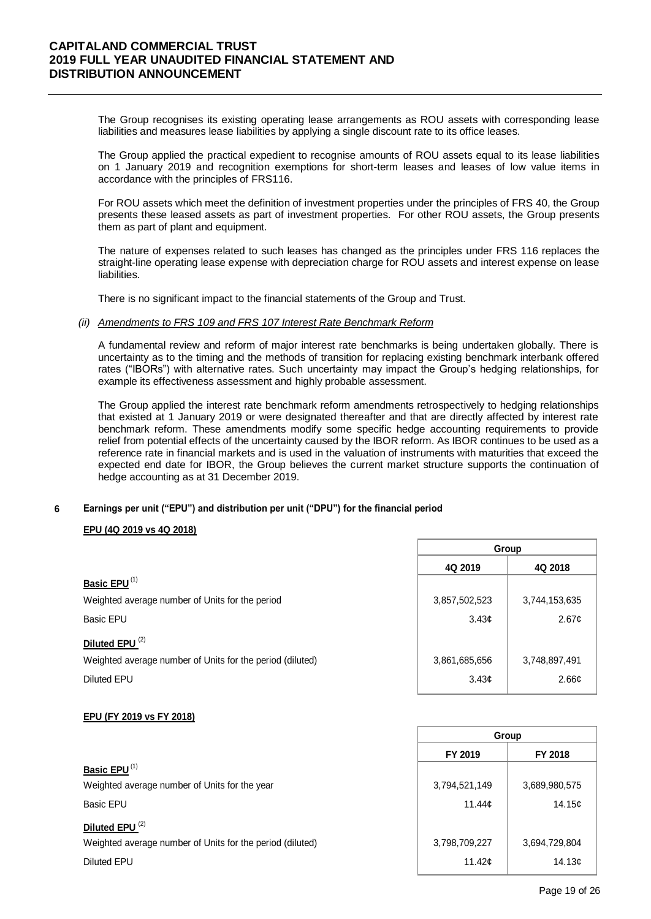The Group recognises its existing operating lease arrangements as ROU assets with corresponding lease liabilities and measures lease liabilities by applying a single discount rate to its office leases.

The Group applied the practical expedient to recognise amounts of ROU assets equal to its lease liabilities on 1 January 2019 and recognition exemptions for short-term leases and leases of low value items in accordance with the principles of FRS116.

For ROU assets which meet the definition of investment properties under the principles of FRS 40, the Group presents these leased assets as part of investment properties. For other ROU assets, the Group presents them as part of plant and equipment.

The nature of expenses related to such leases has changed as the principles under FRS 116 replaces the straight-line operating lease expense with depreciation charge for ROU assets and interest expense on lease liabilities.

There is no significant impact to the financial statements of the Group and Trust.

#### *(ii) Amendments to FRS 109 and FRS 107 Interest Rate Benchmark Reform*

A fundamental review and reform of major interest rate benchmarks is being undertaken globally. There is uncertainty as to the timing and the methods of transition for replacing existing benchmark interbank offered rates ("IBORs") with alternative rates. Such uncertainty may impact the Group's hedging relationships, for example its effectiveness assessment and highly probable assessment.

The Group applied the interest rate benchmark reform amendments retrospectively to hedging relationships that existed at 1 January 2019 or were designated thereafter and that are directly affected by interest rate benchmark reform. These amendments modify some specific hedge accounting requirements to provide relief from potential effects of the uncertainty caused by the IBOR reform. As IBOR continues to be used as a reference rate in financial markets and is used in the valuation of instruments with maturities that exceed the expected end date for IBOR, the Group believes the current market structure supports the continuation of hedge accounting as at 31 December 2019.

#### **6 Earnings per unit ("EPU") and distribution per unit ("DPU") for the financial period**

## **EPU (4Q 2019 vs 4Q 2018)**

|                                                           | Group         |                   |  |
|-----------------------------------------------------------|---------------|-------------------|--|
|                                                           | 4Q 2019       | 4Q 2018           |  |
| Basic EPU <sup>(1)</sup>                                  |               |                   |  |
| Weighted average number of Units for the period           | 3,857,502,523 | 3,744,153,635     |  |
| <b>Basic EPU</b>                                          | 3.43c         | 2.67 <sub>¢</sub> |  |
| Diluted EPU <sup>(2)</sup>                                |               |                   |  |
| Weighted average number of Units for the period (diluted) | 3,861,685,656 | 3,748,897,491     |  |
| <b>Diluted EPU</b>                                        | 3.43c         | 2.66 <sub>¢</sub> |  |

## **EPU (FY 2019 vs FY 2018)**

|                                                           | Group          |               |  |
|-----------------------------------------------------------|----------------|---------------|--|
|                                                           | FY 2019        | FY 2018       |  |
| Basic EPU <sup>(1)</sup>                                  |                |               |  |
| Weighted average number of Units for the year             | 3,794,521,149  | 3,689,980,575 |  |
| <b>Basic EPU</b>                                          | 11.44c         | 14.15¢        |  |
| Diluted EPU <sup>(2)</sup>                                |                |               |  |
| Weighted average number of Units for the period (diluted) | 3,798,709,227  | 3,694,729,804 |  |
| Diluted EPU                                               | 11.42 $\sigma$ | 14.13c        |  |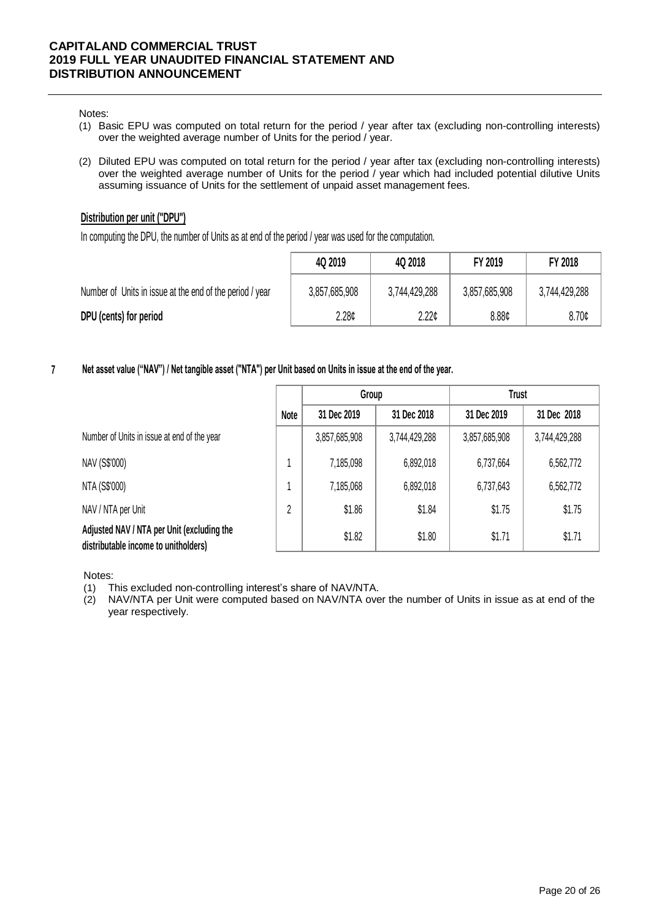#### Notes:

- (1) Basic EPU was computed on total return for the period / year after tax (excluding non-controlling interests) over the weighted average number of Units for the period / year.
- (2) Diluted EPU was computed on total return for the period / year after tax (excluding non-controlling interests) over the weighted average number of Units for the period / year which had included potential dilutive Units assuming issuance of Units for the settlement of unpaid asset management fees.

## **Distribution per unit ("DPU")**

In computing the DPU, the number of Units as at end of the period / year was used for the computation.

|                                                          | 4Q 2019       | 4Q 2018           | FY 2019       | FY 2018           |
|----------------------------------------------------------|---------------|-------------------|---------------|-------------------|
| Number of Units in issue at the end of the period / year | 3,857,685,908 | 3,744,429,288     | 3,857,685,908 | 3,744,429,288     |
| DPU (cents) for period                                   | 2.28c         | 2.22 <sub>0</sub> | 8.88¢         | 8.70 <sub>¢</sub> |

**7 Net asset value ("NAV") / Net tangible asset ("NTA") per Unit based on Units in issue at the end of the year.**

|                                                                                    |      | Group         |               | <b>Trust</b>  |               |
|------------------------------------------------------------------------------------|------|---------------|---------------|---------------|---------------|
|                                                                                    | Note | 31 Dec 2019   | 31 Dec 2018   | 31 Dec 2019   | 31 Dec 2018   |
| Number of Units in issue at end of the year                                        |      | 3,857,685,908 | 3,744,429,288 | 3,857,685,908 | 3,744,429,288 |
| NAV (S\$'000)                                                                      |      | 7,185,098     | 6,892,018     | 6,737,664     | 6,562,772     |
| NTA (S\$'000)                                                                      |      | 7,185,068     | 6,892,018     | 6,737,643     | 6,562,772     |
| NAV / NTA per Unit                                                                 | 2    | \$1.86        | \$1.84        | \$1.75        | \$1.75        |
| Adjusted NAV / NTA per Unit (excluding the<br>distributable income to unitholders) |      | \$1.82        | \$1.80        | \$1.71        | \$1.71        |

Notes:

(1) This excluded non-controlling interest's share of NAV/NTA.

(2) NAV/NTA per Unit were computed based on NAV/NTA over the number of Units in issue as at end of the year respectively.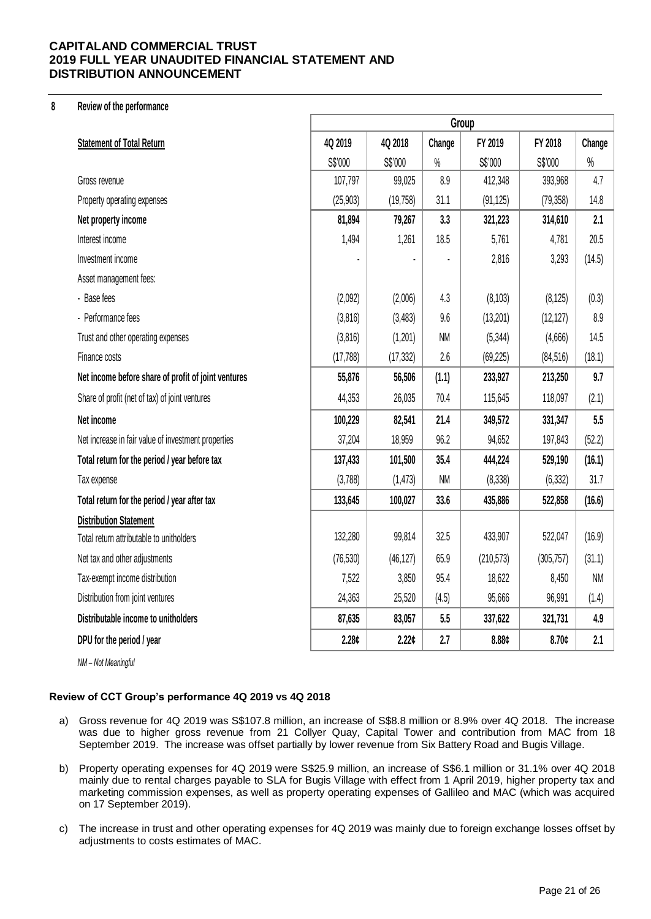#### **8 Review of the performance**

|                                                     | Group     |                   |           |            |            |           |
|-----------------------------------------------------|-----------|-------------------|-----------|------------|------------|-----------|
| <b>Statement of Total Return</b>                    | 4Q 2019   | 4Q 2018           | Change    | FY 2019    | FY 2018    | Change    |
|                                                     | S\$'000   | S\$'000           | $\%$      | S\$'000    | S\$'000    | $\%$      |
| Gross revenue                                       | 107,797   | 99,025            | 8.9       | 412,348    | 393,968    | 4.7       |
| Property operating expenses                         | (25, 903) | (19, 758)         | 31.1      | (91, 125)  | (79, 358)  | 14.8      |
| Net property income                                 | 81,894    | 79,267            | 3.3       | 321,223    | 314,610    | 2.1       |
| Interest income                                     | 1,494     | 1,261             | 18.5      | 5,761      | 4,781      | 20.5      |
| Investment income                                   |           |                   |           | 2,816      | 3,293      | (14.5)    |
| Asset management fees:                              |           |                   |           |            |            |           |
| - Base fees                                         | (2,092)   | (2,006)           | 4.3       | (8, 103)   | (8, 125)   | (0.3)     |
| - Performance fees                                  | (3,816)   | (3, 483)          | 9.6       | (13,201)   | (12, 127)  | 8.9       |
| Trust and other operating expenses                  | (3,816)   | (1,201)           | <b>NM</b> | (5, 344)   | (4,666)    | 14.5      |
| Finance costs                                       | (17, 788) | (17, 332)         | 2.6       | (69, 225)  | (84, 516)  | (18.1)    |
| Net income before share of profit of joint ventures | 55,876    | 56,506            | (1.1)     | 233,927    | 213,250    | 9.7       |
| Share of profit (net of tax) of joint ventures      | 44,353    | 26,035            | 70.4      | 115,645    | 118,097    | (2.1)     |
| Net income                                          | 100,229   | 82,541            | 21.4      | 349,572    | 331,347    | 5.5       |
| Net increase in fair value of investment properties | 37,204    | 18,959            | 96.2      | 94,652     | 197,843    | (52.2)    |
| Total return for the period / year before tax       | 137,433   | 101,500           | 35.4      | 444,224    | 529,190    | (16.1)    |
| Tax expense                                         | (3,788)   | (1, 473)          | <b>NM</b> | (8, 338)   | (6, 332)   | 31.7      |
| Total return for the period / year after tax        | 133,645   | 100,027           | 33.6      | 435,886    | 522,858    | (16.6)    |
| <b>Distribution Statement</b>                       |           |                   |           |            |            |           |
| Total return attributable to unitholders            | 132,280   | 99,814            | 32.5      | 433,907    | 522,047    | (16.9)    |
| Net tax and other adjustments                       | (76, 530) | (46, 127)         | 65.9      | (210, 573) | (305, 757) | (31.1)    |
| Tax-exempt income distribution                      | 7,522     | 3,850             | 95.4      | 18,622     | 8,450      | <b>NM</b> |
| Distribution from joint ventures                    | 24,363    | 25,520            | (4.5)     | 95,666     | 96,991     | (1.4)     |
| Distributable income to unitholders                 | 87,635    | 83,057            | 5.5       | 337,622    | 321,731    | 4.9       |
| DPU for the period / year                           | 2.28c     | 2.22 <sub>¢</sub> | 2.7       | 8.88c      | 8.70c      | 2.1       |
| NM - Not Meaningful                                 |           |                   |           |            |            |           |

# **Review of CCT Group's performance 4Q 2019 vs 4Q 2018**

- a) Gross revenue for 4Q 2019 was S\$107.8 million, an increase of S\$8.8 million or 8.9% over 4Q 2018. The increase was due to higher gross revenue from 21 Collyer Quay, Capital Tower and contribution from MAC from 18 September 2019. The increase was offset partially by lower revenue from Six Battery Road and Bugis Village.
- b) Property operating expenses for 4Q 2019 were S\$25.9 million, an increase of S\$6.1 million or 31.1% over 4Q 2018 mainly due to rental charges payable to SLA for Bugis Village with effect from 1 April 2019, higher property tax and marketing commission expenses, as well as property operating expenses of Gallileo and MAC (which was acquired on 17 September 2019).
- c) The increase in trust and other operating expenses for 4Q 2019 was mainly due to foreign exchange losses offset by adjustments to costs estimates of MAC.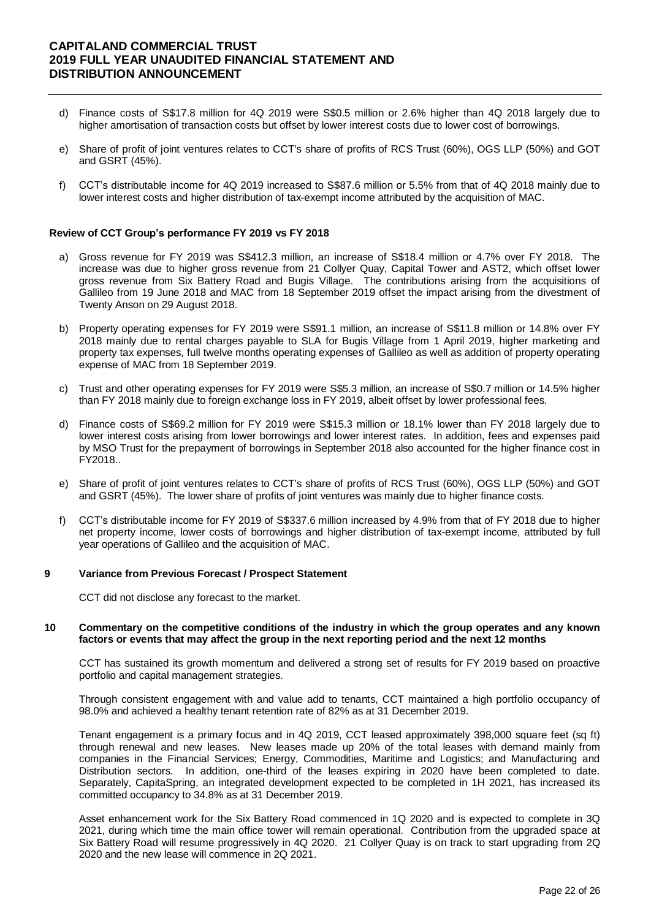- d) Finance costs of S\$17.8 million for 4Q 2019 were S\$0.5 million or 2.6% higher than 4Q 2018 largely due to higher amortisation of transaction costs but offset by lower interest costs due to lower cost of borrowings.
- e) Share of profit of joint ventures relates to CCT's share of profits of RCS Trust (60%), OGS LLP (50%) and GOT and GSRT (45%).
- f) CCT's distributable income for 4Q 2019 increased to S\$87.6 million or 5.5% from that of 4Q 2018 mainly due to lower interest costs and higher distribution of tax-exempt income attributed by the acquisition of MAC.

## **Review of CCT Group's performance FY 2019 vs FY 2018**

- a) Gross revenue for FY 2019 was S\$412.3 million, an increase of S\$18.4 million or 4.7% over FY 2018. The increase was due to higher gross revenue from 21 Collyer Quay, Capital Tower and AST2, which offset lower gross revenue from Six Battery Road and Bugis Village. The contributions arising from the acquisitions of Gallileo from 19 June 2018 and MAC from 18 September 2019 offset the impact arising from the divestment of Twenty Anson on 29 August 2018.
- b) Property operating expenses for FY 2019 were S\$91.1 million, an increase of S\$11.8 million or 14.8% over FY 2018 mainly due to rental charges payable to SLA for Bugis Village from 1 April 2019, higher marketing and property tax expenses, full twelve months operating expenses of Gallileo as well as addition of property operating expense of MAC from 18 September 2019.
- c) Trust and other operating expenses for FY 2019 were S\$5.3 million, an increase of S\$0.7 million or 14.5% higher than FY 2018 mainly due to foreign exchange loss in FY 2019, albeit offset by lower professional fees.
- d) Finance costs of S\$69.2 million for FY 2019 were S\$15.3 million or 18.1% lower than FY 2018 largely due to lower interest costs arising from lower borrowings and lower interest rates. In addition, fees and expenses paid by MSO Trust for the prepayment of borrowings in September 2018 also accounted for the higher finance cost in FY2018..
- e) Share of profit of joint ventures relates to CCT's share of profits of RCS Trust (60%), OGS LLP (50%) and GOT and GSRT (45%). The lower share of profits of joint ventures was mainly due to higher finance costs.
- f) CCT's distributable income for FY 2019 of S\$337.6 million increased by 4.9% from that of FY 2018 due to higher net property income, lower costs of borrowings and higher distribution of tax-exempt income, attributed by full year operations of Gallileo and the acquisition of MAC.

#### **9 Variance from Previous Forecast / Prospect Statement**

CCT did not disclose any forecast to the market.

#### **10 Commentary on the competitive conditions of the industry in which the group operates and any known factors or events that may affect the group in the next reporting period and the next 12 months**

CCT has sustained its growth momentum and delivered a strong set of results for FY 2019 based on proactive portfolio and capital management strategies.

Through consistent engagement with and value add to tenants, CCT maintained a high portfolio occupancy of 98.0% and achieved a healthy tenant retention rate of 82% as at 31 December 2019.

Tenant engagement is a primary focus and in 4Q 2019, CCT leased approximately 398,000 square feet (sq ft) through renewal and new leases. New leases made up 20% of the total leases with demand mainly from companies in the Financial Services; Energy, Commodities, Maritime and Logistics; and Manufacturing and Distribution sectors. In addition, one-third of the leases expiring in 2020 have been completed to date. Separately, CapitaSpring, an integrated development expected to be completed in 1H 2021, has increased its committed occupancy to 34.8% as at 31 December 2019.

Asset enhancement work for the Six Battery Road commenced in 1Q 2020 and is expected to complete in 3Q 2021, during which time the main office tower will remain operational. Contribution from the upgraded space at Six Battery Road will resume progressively in 4Q 2020. 21 Collyer Quay is on track to start upgrading from 2Q 2020 and the new lease will commence in 2Q 2021.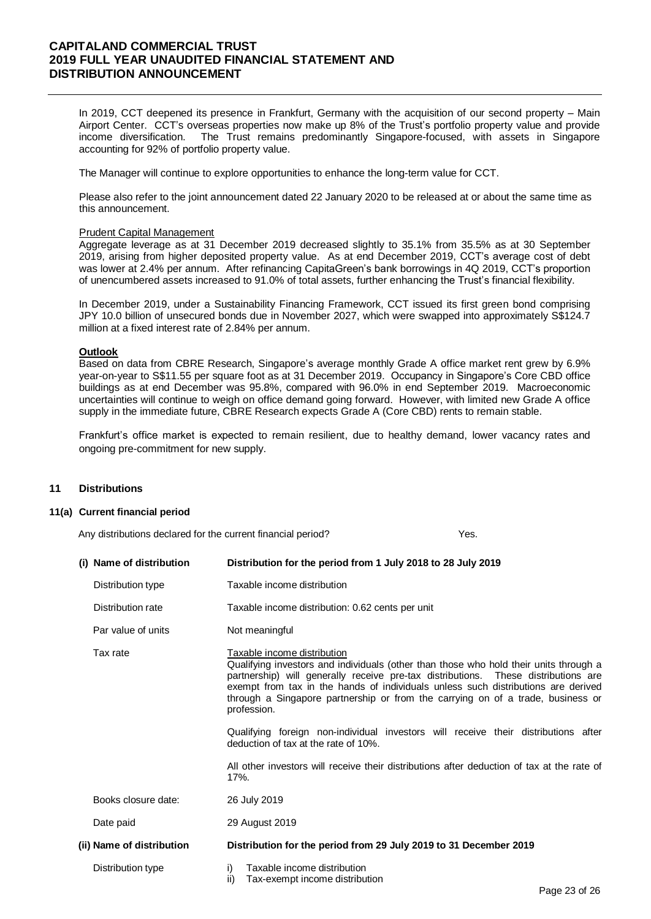In 2019, CCT deepened its presence in Frankfurt, Germany with the acquisition of our second property – Main Airport Center. CCT's overseas properties now make up 8% of the Trust's portfolio property value and provide income diversification. The Trust remains predominantly Singapore-focused, with assets in Singapore accounting for 92% of portfolio property value.

The Manager will continue to explore opportunities to enhance the long-term value for CCT.

Please also refer to the joint announcement dated 22 January 2020 to be released at or about the same time as this announcement.

#### Prudent Capital Management

Aggregate leverage as at 31 December 2019 decreased slightly to 35.1% from 35.5% as at 30 September 2019, arising from higher deposited property value. As at end December 2019, CCT's average cost of debt was lower at 2.4% per annum. After refinancing CapitaGreen's bank borrowings in 4Q 2019, CCT's proportion of unencumbered assets increased to 91.0% of total assets, further enhancing the Trust's financial flexibility.

In December 2019, under a Sustainability Financing Framework, CCT issued its first green bond comprising JPY 10.0 billion of unsecured bonds due in November 2027, which were swapped into approximately S\$124.7 million at a fixed interest rate of 2.84% per annum.

## **Outlook**

Based on data from CBRE Research, Singapore's average monthly Grade A office market rent grew by 6.9% year-on-year to S\$11.55 per square foot as at 31 December 2019. Occupancy in Singapore's Core CBD office buildings as at end December was 95.8%, compared with 96.0% in end September 2019. Macroeconomic uncertainties will continue to weigh on office demand going forward. However, with limited new Grade A office supply in the immediate future, CBRE Research expects Grade A (Core CBD) rents to remain stable.

Frankfurt's office market is expected to remain resilient, due to healthy demand, lower vacancy rates and ongoing pre-commitment for new supply.

## **11 Distributions**

#### **11(a) Current financial period**

Any distributions declared for the current financial period? The state of the Yes.

| (i) Name of distribution  | Distribution for the period from 1 July 2018 to 28 July 2019                                                                                                                                                                                                                                                                                                                                      |  |  |  |  |  |
|---------------------------|---------------------------------------------------------------------------------------------------------------------------------------------------------------------------------------------------------------------------------------------------------------------------------------------------------------------------------------------------------------------------------------------------|--|--|--|--|--|
| Distribution type         | Taxable income distribution                                                                                                                                                                                                                                                                                                                                                                       |  |  |  |  |  |
| Distribution rate         | Taxable income distribution: 0.62 cents per unit                                                                                                                                                                                                                                                                                                                                                  |  |  |  |  |  |
| Par value of units        | Not meaningful                                                                                                                                                                                                                                                                                                                                                                                    |  |  |  |  |  |
| Tax rate                  | Taxable income distribution<br>Qualifying investors and individuals (other than those who hold their units through a<br>partnership) will generally receive pre-tax distributions. These distributions are<br>exempt from tax in the hands of individuals unless such distributions are derived<br>through a Singapore partnership or from the carrying on of a trade, business or<br>profession. |  |  |  |  |  |
|                           | Qualifying foreign non-individual investors will receive their distributions after<br>deduction of tax at the rate of 10%.                                                                                                                                                                                                                                                                        |  |  |  |  |  |
|                           | All other investors will receive their distributions after deduction of tax at the rate of<br>17%.                                                                                                                                                                                                                                                                                                |  |  |  |  |  |
| Books closure date:       | 26 July 2019                                                                                                                                                                                                                                                                                                                                                                                      |  |  |  |  |  |
| Date paid                 | 29 August 2019                                                                                                                                                                                                                                                                                                                                                                                    |  |  |  |  |  |
| (ii) Name of distribution | Distribution for the period from 29 July 2019 to 31 December 2019                                                                                                                                                                                                                                                                                                                                 |  |  |  |  |  |
| Distribution type         | Taxable income distribution<br>i)<br>ii)<br>Tax-exempt income distribution                                                                                                                                                                                                                                                                                                                        |  |  |  |  |  |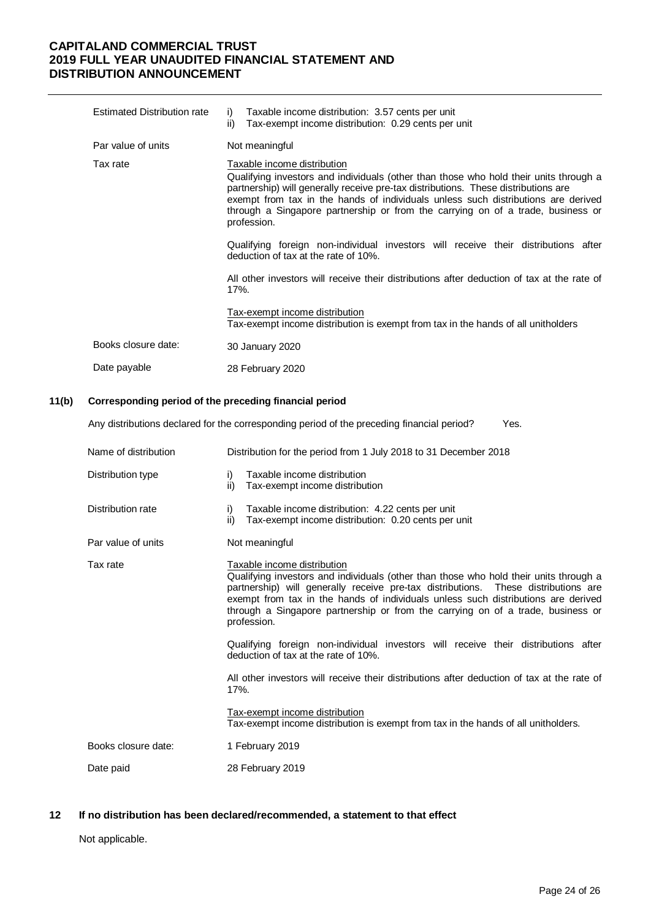| <b>Estimated Distribution rate</b> | Taxable income distribution: 3.57 cents per unit<br>i)<br>Tax-exempt income distribution: 0.29 cents per unit<br>ii)                                                                                                                                                                                                                                                                                                                                                                                                                                                                                                                                                    |
|------------------------------------|-------------------------------------------------------------------------------------------------------------------------------------------------------------------------------------------------------------------------------------------------------------------------------------------------------------------------------------------------------------------------------------------------------------------------------------------------------------------------------------------------------------------------------------------------------------------------------------------------------------------------------------------------------------------------|
| Par value of units                 | Not meaningful                                                                                                                                                                                                                                                                                                                                                                                                                                                                                                                                                                                                                                                          |
| Tax rate                           | Taxable income distribution<br>Qualifying investors and individuals (other than those who hold their units through a<br>partnership) will generally receive pre-tax distributions. These distributions are<br>exempt from tax in the hands of individuals unless such distributions are derived<br>through a Singapore partnership or from the carrying on of a trade, business or<br>profession.<br>Qualifying foreign non-individual investors will receive their distributions after<br>deduction of tax at the rate of 10%.<br>All other investors will receive their distributions after deduction of tax at the rate of<br>17%.<br>Tax-exempt income distribution |
|                                    | Tax-exempt income distribution is exempt from tax in the hands of all unitholders                                                                                                                                                                                                                                                                                                                                                                                                                                                                                                                                                                                       |
| Books closure date:                | 30 January 2020                                                                                                                                                                                                                                                                                                                                                                                                                                                                                                                                                                                                                                                         |
| Date payable                       | 28 February 2020                                                                                                                                                                                                                                                                                                                                                                                                                                                                                                                                                                                                                                                        |

#### **11(b) Corresponding period of the preceding financial period**

Any distributions declared for the corresponding period of the preceding financial period? Yes.

| Name of distribution | Distribution for the period from 1 July 2018 to 31 December 2018                                                                                                                                                                                                                                                                                                                                  |
|----------------------|---------------------------------------------------------------------------------------------------------------------------------------------------------------------------------------------------------------------------------------------------------------------------------------------------------------------------------------------------------------------------------------------------|
| Distribution type    | Taxable income distribution<br>i)<br>ii)<br>Tax-exempt income distribution                                                                                                                                                                                                                                                                                                                        |
| Distribution rate    | Taxable income distribution: 4.22 cents per unit<br>i)<br>ii)<br>Tax-exempt income distribution: 0.20 cents per unit                                                                                                                                                                                                                                                                              |
| Par value of units   | Not meaningful                                                                                                                                                                                                                                                                                                                                                                                    |
| Tax rate             | Taxable income distribution<br>Qualifying investors and individuals (other than those who hold their units through a<br>partnership) will generally receive pre-tax distributions. These distributions are<br>exempt from tax in the hands of individuals unless such distributions are derived<br>through a Singapore partnership or from the carrying on of a trade, business or<br>profession. |
|                      | Qualifying foreign non-individual investors will receive their distributions after<br>deduction of tax at the rate of 10%.                                                                                                                                                                                                                                                                        |
|                      | All other investors will receive their distributions after deduction of tax at the rate of<br>$17%$ .                                                                                                                                                                                                                                                                                             |
|                      | Tax-exempt income distribution<br>Tax-exempt income distribution is exempt from tax in the hands of all unitholders.                                                                                                                                                                                                                                                                              |
| Books closure date:  | 1 February 2019                                                                                                                                                                                                                                                                                                                                                                                   |
| Date paid            | 28 February 2019                                                                                                                                                                                                                                                                                                                                                                                  |

## **12 If no distribution has been declared/recommended, a statement to that effect**

Not applicable.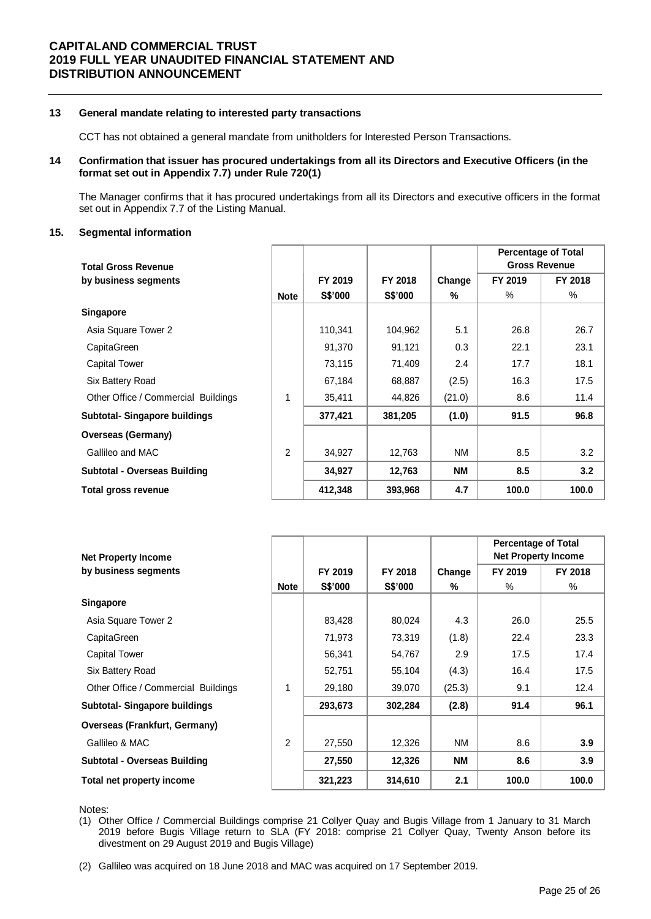## **13 General mandate relating to interested party transactions**

CCT has not obtained a general mandate from unitholders for Interested Person Transactions.

## **14 Confirmation that issuer has procured undertakings from all its Directors and Executive Officers (in the format set out in Appendix 7.7) under Rule 720(1)**

The Manager confirms that it has procured undertakings from all its Directors and executive officers in the format set out in Appendix 7.7 of the Listing Manual.

#### **15. Segmental information**

|                                      |                |         |                |           | <b>Percentage of Total</b> |                      |
|--------------------------------------|----------------|---------|----------------|-----------|----------------------------|----------------------|
| <b>Total Gross Revenue</b>           |                |         |                |           |                            | <b>Gross Revenue</b> |
| by business segments                 |                | FY 2019 | FY 2018        | Change    | FY 2019                    | FY 2018              |
|                                      | <b>Note</b>    | S\$'000 | <b>S\$'000</b> | %         | $\%$                       | %                    |
| <b>Singapore</b>                     |                |         |                |           |                            |                      |
| Asia Square Tower 2                  |                | 110,341 | 104,962        | 5.1       | 26.8                       | 26.7                 |
| CapitaGreen                          |                | 91,370  | 91,121         | 0.3       | 22.1                       | 23.1                 |
| <b>Capital Tower</b>                 |                | 73,115  | 71,409         | 2.4       | 17.7                       | 18.1                 |
| Six Battery Road                     |                | 67,184  | 68,887         | (2.5)     | 16.3                       | 17.5                 |
| Other Office / Commercial Buildings  | 1              | 35,411  | 44,826         | (21.0)    | 8.6                        | 11.4                 |
| <b>Subtotal- Singapore buildings</b> |                | 377,421 | 381,205        | (1.0)     | 91.5                       | 96.8                 |
| <b>Overseas (Germany)</b>            |                |         |                |           |                            |                      |
| Gallileo and MAC                     | $\overline{2}$ | 34,927  | 12,763         | <b>NM</b> | 8.5                        | 3.2                  |
| Subtotal - Overseas Building         |                | 34,927  | 12,763         | <b>NM</b> | 8.5                        | 3.2                  |
| Total gross revenue                  |                | 412,348 | 393,968        | 4.7       | 100.0                      | 100.0                |

|                                      |                |         |                |           | <b>Percentage of Total</b> |         |
|--------------------------------------|----------------|---------|----------------|-----------|----------------------------|---------|
| <b>Net Property Income</b>           |                |         |                |           | <b>Net Property Income</b> |         |
| by business segments                 |                | FY 2019 | FY 2018        | Change    | FY 2019                    | FY 2018 |
|                                      | <b>Note</b>    | S\$'000 | <b>S\$'000</b> | %         | $\%$                       | %       |
| <b>Singapore</b>                     |                |         |                |           |                            |         |
| Asia Square Tower 2                  |                | 83,428  | 80,024         | 4.3       | 26.0                       | 25.5    |
| CapitaGreen                          |                | 71,973  | 73,319         | (1.8)     | 22.4                       | 23.3    |
| <b>Capital Tower</b>                 |                | 56,341  | 54,767         | 2.9       | 17.5                       | 17.4    |
| Six Battery Road                     |                | 52,751  | 55,104         | (4.3)     | 16.4                       | 17.5    |
| Other Office / Commercial Buildings  | 1              | 29,180  | 39,070         | (25.3)    | 9.1                        | 12.4    |
| <b>Subtotal- Singapore buildings</b> |                | 293,673 | 302,284        | (2.8)     | 91.4                       | 96.1    |
| <b>Overseas (Frankfurt, Germany)</b> |                |         |                |           |                            |         |
| Gallileo & MAC                       | $\overline{2}$ | 27,550  | 12,326         | NM.       | 8.6                        | 3.9     |
| <b>Subtotal - Overseas Building</b>  |                | 27,550  | 12,326         | <b>NM</b> | 8.6                        | 3.9     |
| Total net property income            |                | 321,223 | 314,610        | 2.1       | 100.0                      | 100.0   |

Notes:

(2) Gallileo was acquired on 18 June 2018 and MAC was acquired on 17 September 2019.

<sup>(1)</sup> Other Office / Commercial Buildings comprise 21 Collyer Quay and Bugis Village from 1 January to 31 March 2019 before Bugis Village return to SLA (FY 2018: comprise 21 Collyer Quay, Twenty Anson before its divestment on 29 August 2019 and Bugis Village)